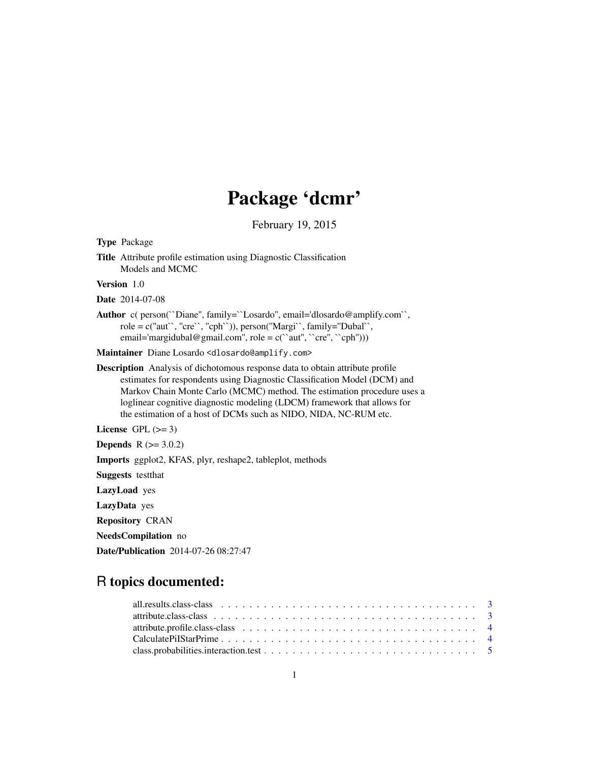# Package 'dcmr'

February 19, 2015

<span id="page-0-0"></span>

| <b>Type Package</b>                                                                                                                                                                                                                                                                                                                                                                          |
|----------------------------------------------------------------------------------------------------------------------------------------------------------------------------------------------------------------------------------------------------------------------------------------------------------------------------------------------------------------------------------------------|
| <b>Title</b> Attribute profile estimation using Diagnostic Classification<br>Models and MCMC                                                                                                                                                                                                                                                                                                 |
| Version 1.0                                                                                                                                                                                                                                                                                                                                                                                  |
| <b>Date</b> 2014-07-08                                                                                                                                                                                                                                                                                                                                                                       |
| Author c( person("Diane", family="Losardo", email='dlosardo@amplify.com",<br>$role = c("aut", "cre", "cph"))$ , $person("Margi", family="Dubal",$<br>email='margidubal@gmail.com", role = $c("aut", "cre", "cph"))$                                                                                                                                                                          |
| Maintainer Diane Losardo <dlosardo@amplify.com></dlosardo@amplify.com>                                                                                                                                                                                                                                                                                                                       |
| <b>Description</b> Analysis of dichotomous response data to obtain attribute profile<br>estimates for respondents using Diagnostic Classification Model (DCM) and<br>Markov Chain Monte Carlo (MCMC) method. The estimation procedure uses a<br>loglinear cognitive diagnostic modeling (LDCM) framework that allows for<br>the estimation of a host of DCMs such as NIDO, NIDA, NC-RUM etc. |
| License GPL $(>= 3)$                                                                                                                                                                                                                                                                                                                                                                         |
| <b>Depends</b> $R (= 3.0.2)$                                                                                                                                                                                                                                                                                                                                                                 |
| Imports ggplot2, KFAS, plyr, reshape2, tableplot, methods                                                                                                                                                                                                                                                                                                                                    |
| <b>Suggests</b> test that                                                                                                                                                                                                                                                                                                                                                                    |
| LazyLoad yes                                                                                                                                                                                                                                                                                                                                                                                 |
| LazyData yes                                                                                                                                                                                                                                                                                                                                                                                 |
| <b>Repository CRAN</b>                                                                                                                                                                                                                                                                                                                                                                       |
| NeedsCompilation no                                                                                                                                                                                                                                                                                                                                                                          |

Date/Publication 2014-07-26 08:27:47

# R topics documented: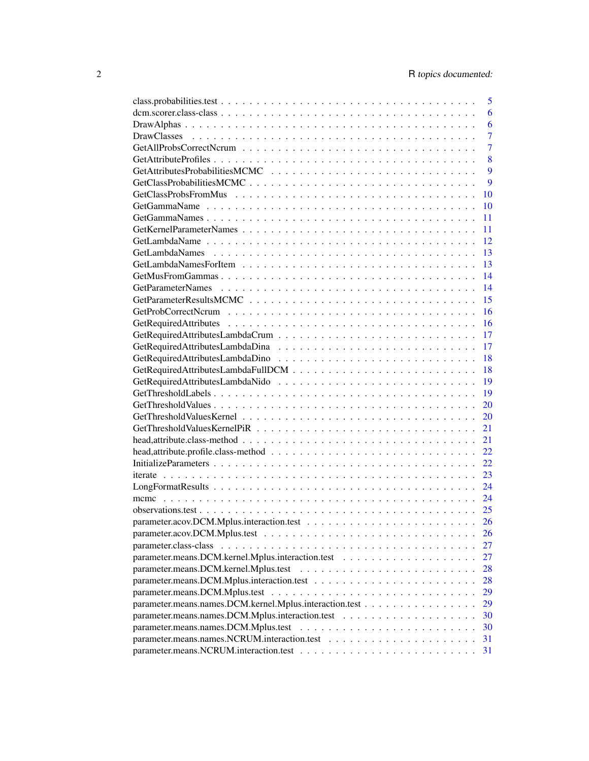|                                                         | 5              |
|---------------------------------------------------------|----------------|
|                                                         | 6              |
|                                                         | 6              |
|                                                         | $\overline{7}$ |
|                                                         | $\overline{7}$ |
|                                                         | 8              |
|                                                         | 9              |
|                                                         | 9              |
|                                                         | 10             |
|                                                         | 10             |
|                                                         | 11             |
|                                                         | 11             |
|                                                         | 12             |
|                                                         | 13             |
|                                                         | 13             |
|                                                         | 14             |
|                                                         | 14             |
|                                                         | 15             |
|                                                         |                |
|                                                         | 16             |
|                                                         | 16             |
|                                                         | 17             |
|                                                         | 17             |
|                                                         | 18             |
|                                                         | 18             |
|                                                         | 19             |
|                                                         | 19             |
|                                                         | 20             |
|                                                         | 20             |
|                                                         | 21             |
|                                                         | 21             |
|                                                         | 22.            |
|                                                         | 22             |
|                                                         | 23             |
|                                                         | 24             |
|                                                         | 24             |
|                                                         | 25             |
|                                                         | 26             |
|                                                         | 26             |
|                                                         | 27             |
|                                                         | 27             |
|                                                         | 28             |
|                                                         | 28             |
|                                                         |                |
|                                                         | 29             |
| parameter.means.names.DCM.kernel.Mplus.interaction.test | 29             |
|                                                         | 30             |
|                                                         | 30             |
|                                                         | 31             |
|                                                         | 31             |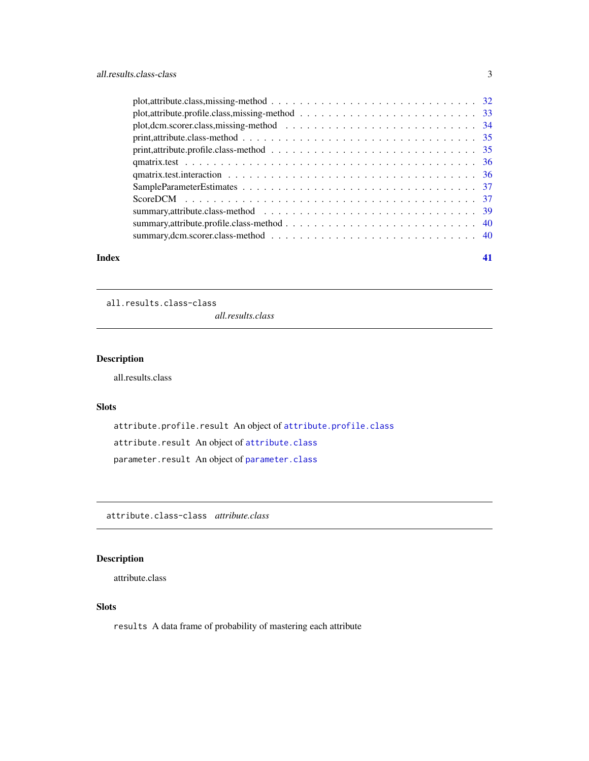<span id="page-2-0"></span>

|       | $plot, attribute, profile.class, missing-method \dots \dots \dots \dots \dots \dots \dots \dots \dots \dots \dots \dots$ |    |
|-------|--------------------------------------------------------------------------------------------------------------------------|----|
|       |                                                                                                                          |    |
|       |                                                                                                                          |    |
|       |                                                                                                                          |    |
|       |                                                                                                                          |    |
|       |                                                                                                                          |    |
|       |                                                                                                                          |    |
|       |                                                                                                                          |    |
|       |                                                                                                                          |    |
|       |                                                                                                                          |    |
|       |                                                                                                                          |    |
| Index |                                                                                                                          | 41 |

all.results.class-class

*all.results.class*

# <span id="page-2-2"></span>Description

all.results.class

# Slots

attribute.profile.result An object of [attribute.profile.class](#page-3-1) attribute.result An object of [attribute.class](#page-2-1) parameter.result An object of [parameter.class](#page-26-1)

attribute.class-class *attribute.class*

# <span id="page-2-1"></span>Description

attribute.class

# Slots

results A data frame of probability of mastering each attribute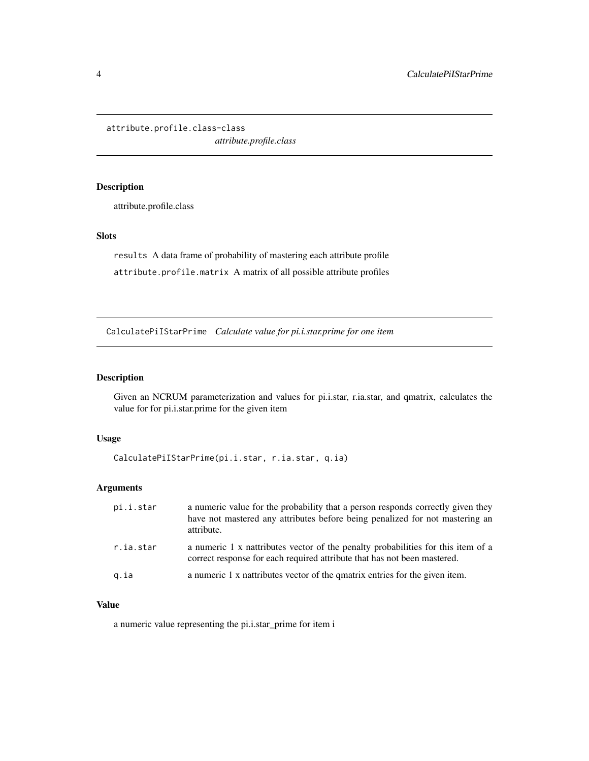<span id="page-3-0"></span>attribute.profile.class-class

*attribute.profile.class*

# <span id="page-3-1"></span>Description

attribute.profile.class

#### Slots

results A data frame of probability of mastering each attribute profile attribute.profile.matrix A matrix of all possible attribute profiles

CalculatePiIStarPrime *Calculate value for pi.i.star.prime for one item*

#### Description

Given an NCRUM parameterization and values for pi.i.star, r.ia.star, and qmatrix, calculates the value for for pi.i.star.prime for the given item

#### Usage

```
CalculatePiIStarPrime(pi.i.star, r.ia.star, q.ia)
```
#### Arguments

| pi.i.star | a numeric value for the probability that a person responds correctly given they<br>have not mastered any attributes before being penalized for not mastering an<br>attribute. |
|-----------|-------------------------------------------------------------------------------------------------------------------------------------------------------------------------------|
| r.ia.star | a numeric 1 x nattributes vector of the penalty probabilities for this item of a<br>correct response for each required attribute that has not been mastered.                  |
| g.ia      | a numeric 1 x nattributes vector of the quatrix entries for the given item.                                                                                                   |

# Value

a numeric value representing the pi.i.star\_prime for item i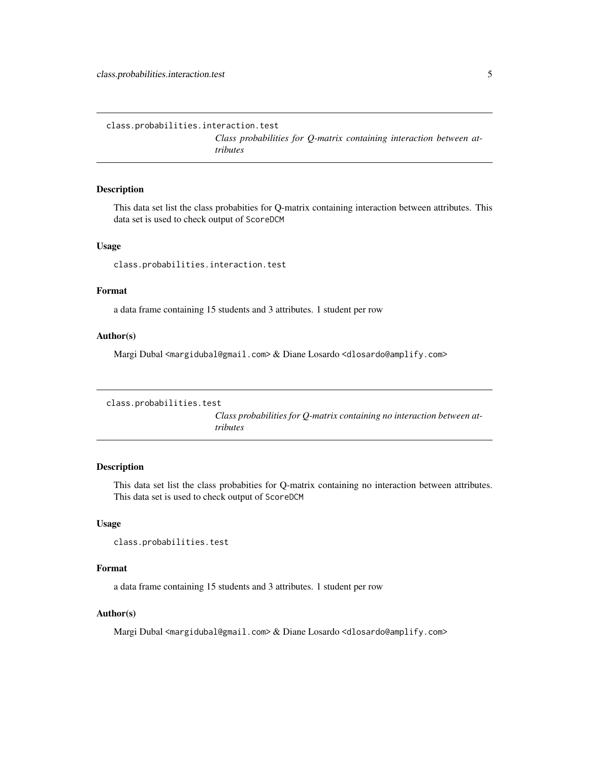<span id="page-4-0"></span>class.probabilities.interaction.test

*Class probabilities for Q-matrix containing interaction between attributes*

# Description

This data set list the class probabities for Q-matrix containing interaction between attributes. This data set is used to check output of ScoreDCM

#### Usage

class.probabilities.interaction.test

# Format

a data frame containing 15 students and 3 attributes. 1 student per row

#### Author(s)

Margi Dubal <margidubal@gmail.com> & Diane Losardo <dlosardo@amplify.com>

```
class.probabilities.test
```
*Class probabilities for Q-matrix containing no interaction between attributes*

#### Description

This data set list the class probabities for Q-matrix containing no interaction between attributes. This data set is used to check output of ScoreDCM

#### Usage

class.probabilities.test

#### Format

a data frame containing 15 students and 3 attributes. 1 student per row

#### Author(s)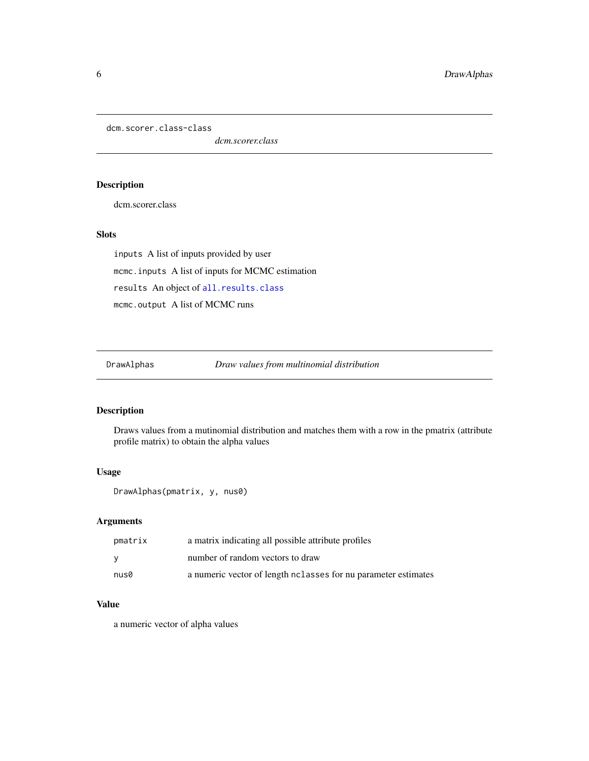<span id="page-5-0"></span>dcm.scorer.class-class

*dcm.scorer.class*

# <span id="page-5-1"></span>Description

dcm.scorer.class

# Slots

inputs A list of inputs provided by user mcmc.inputs A list of inputs for MCMC estimation results An object of [all.results.class](#page-2-2) mcmc.output A list of MCMC runs

DrawAlphas *Draw values from multinomial distribution*

#### Description

Draws values from a mutinomial distribution and matches them with a row in the pmatrix (attribute profile matrix) to obtain the alpha values

#### Usage

DrawAlphas(pmatrix, y, nus0)

# Arguments

| pmatrix | a matrix indicating all possible attribute profiles              |
|---------|------------------------------------------------------------------|
|         | number of random vectors to draw                                 |
| nus0    | a numeric vector of length no alasses for nu parameter estimates |

#### Value

a numeric vector of alpha values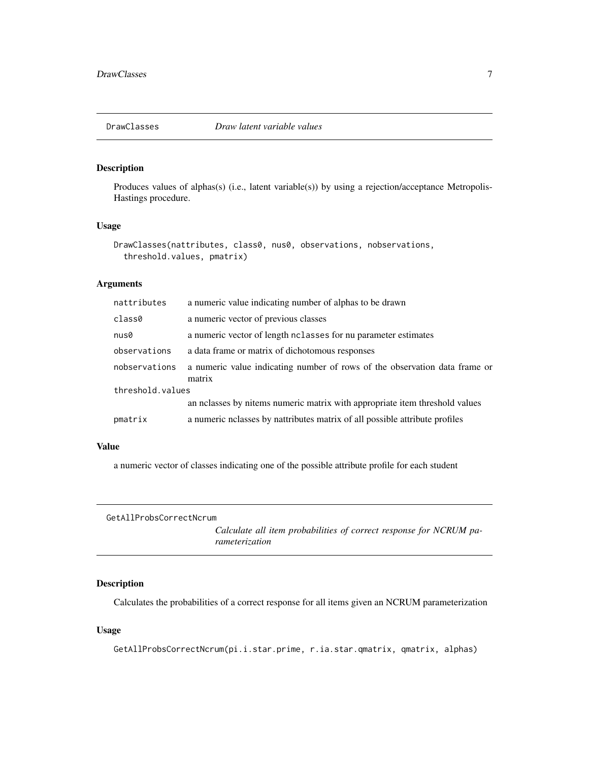<span id="page-6-0"></span>

# Description

Produces values of alphas(s) (i.e., latent variable(s)) by using a rejection/acceptance Metropolis-Hastings procedure.

#### Usage

```
DrawClasses(nattributes, class0, nus0, observations, nobservations,
  threshold.values, pmatrix)
```
#### Arguments

| nattributes      | a numeric value indicating number of alphas to be drawn                              |  |
|------------------|--------------------------------------------------------------------------------------|--|
| class0           | a numeric vector of previous classes                                                 |  |
| nus0             | a numeric vector of length nclasses for nu parameter estimates                       |  |
| observations     | a data frame or matrix of dichotomous responses                                      |  |
| nobservations    | a numeric value indicating number of rows of the observation data frame or<br>matrix |  |
| threshold.values |                                                                                      |  |
|                  | an nelasses by nitems numeric matrix with appropriate item threshold values          |  |
| pmatrix          | a numeric nelasses by nattributes matrix of all possible attribute profiles          |  |

#### Value

a numeric vector of classes indicating one of the possible attribute profile for each student

```
GetAllProbsCorrectNcrum
```
*Calculate all item probabilities of correct response for NCRUM parameterization*

# Description

Calculates the probabilities of a correct response for all items given an NCRUM parameterization

# Usage

GetAllProbsCorrectNcrum(pi.i.star.prime, r.ia.star.qmatrix, qmatrix, alphas)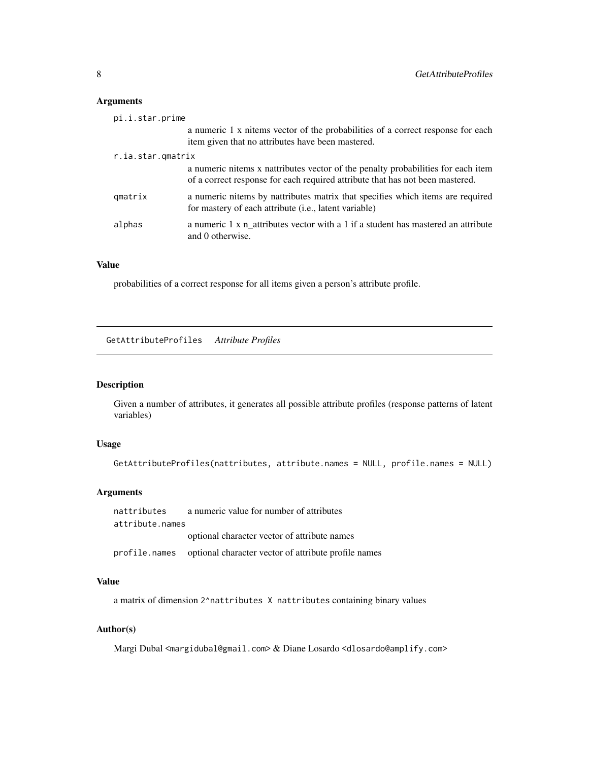# <span id="page-7-0"></span>Arguments

| pi.i.star.prime   |                                                                                                                                                                   |
|-------------------|-------------------------------------------------------------------------------------------------------------------------------------------------------------------|
|                   | a numeric 1 x nitems vector of the probabilities of a correct response for each<br>item given that no attributes have been mastered.                              |
| r.ia.star.qmatrix |                                                                                                                                                                   |
|                   | a numeric nitems x nattributes vector of the penalty probabilities for each item<br>of a correct response for each required attribute that has not been mastered. |
| qmatrix           | a numeric nitems by nattributes matrix that specifies which items are required<br>for mastery of each attribute ( <i>i.e.</i> , latent variable)                  |
| alphas            | a numeric 1 x n attributes vector with a 1 if a student has mastered an attribute<br>and 0 otherwise.                                                             |

# Value

probabilities of a correct response for all items given a person's attribute profile.

GetAttributeProfiles *Attribute Profiles*

# Description

Given a number of attributes, it generates all possible attribute profiles (response patterns of latent variables)

# Usage

```
GetAttributeProfiles(nattributes, attribute.names = NULL, profile.names = NULL)
```
# Arguments

```
nattributes a numeric value for number of attributes
attribute.names
                 optional character vector of attribute names
profile.names optional character vector of attribute profile names
```
# Value

a matrix of dimension 2^nattributes X nattributes containing binary values

# Author(s)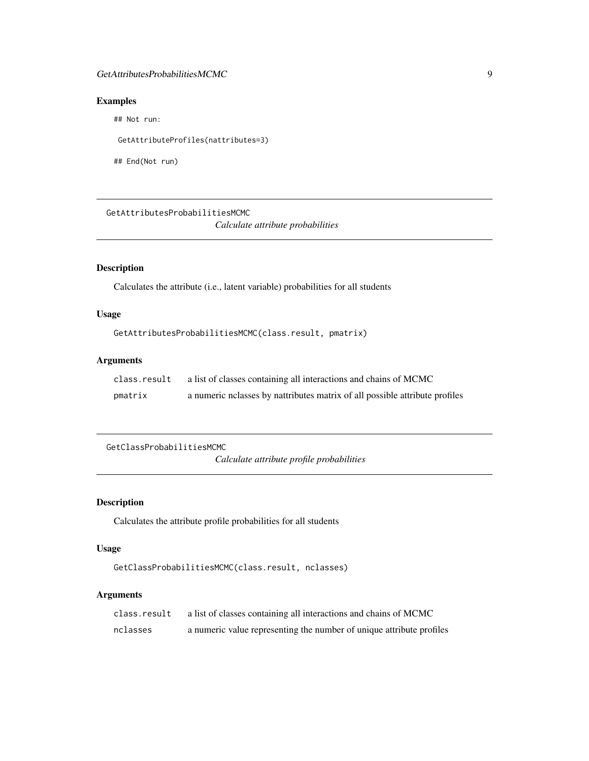# <span id="page-8-0"></span>GetAttributesProbabilitiesMCMC 9

# Examples

## Not run:

GetAttributeProfiles(nattributes=3)

## End(Not run)

GetAttributesProbabilitiesMCMC *Calculate attribute probabilities*

# Description

Calculates the attribute (i.e., latent variable) probabilities for all students

# Usage

```
GetAttributesProbabilitiesMCMC(class.result, pmatrix)
```
#### Arguments

| class.result | a list of classes containing all interactions and chains of MCMC            |
|--------------|-----------------------------------------------------------------------------|
| pmatrix      | a numeric nolasses by nattributes matrix of all possible attribute profiles |

GetClassProbabilitiesMCMC

*Calculate attribute profile probabilities*

# Description

Calculates the attribute profile probabilities for all students

# Usage

```
GetClassProbabilitiesMCMC(class.result, nclasses)
```
# Arguments

| class.result | a list of classes containing all interactions and chains of MCMC     |
|--------------|----------------------------------------------------------------------|
| nclasses     | a numeric value representing the number of unique attribute profiles |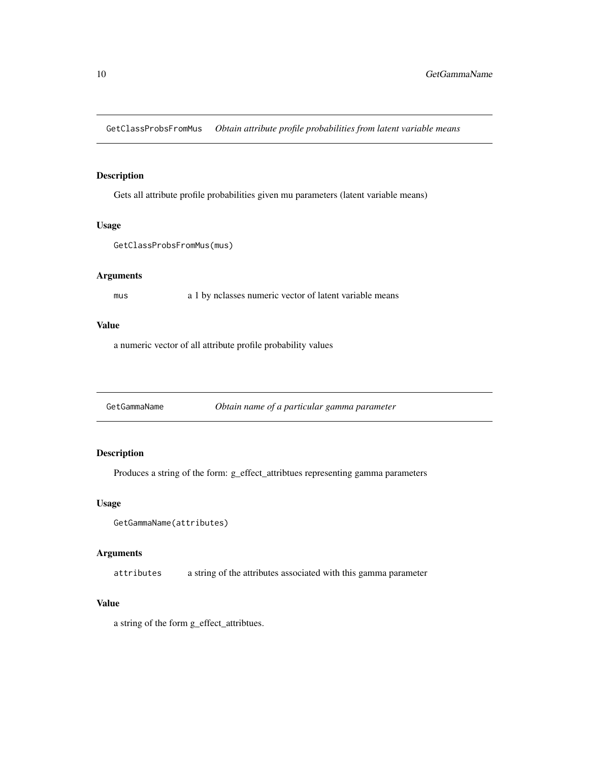<span id="page-9-0"></span>GetClassProbsFromMus *Obtain attribute profile probabilities from latent variable means*

# Description

Gets all attribute profile probabilities given mu parameters (latent variable means)

#### Usage

```
GetClassProbsFromMus(mus)
```
# Arguments

mus a 1 by nclasses numeric vector of latent variable means

#### Value

a numeric vector of all attribute profile probability values

GetGammaName *Obtain name of a particular gamma parameter*

# Description

Produces a string of the form: g\_effect\_attribtues representing gamma parameters

#### Usage

```
GetGammaName(attributes)
```
#### Arguments

attributes a string of the attributes associated with this gamma parameter

# Value

a string of the form g\_effect\_attribtues.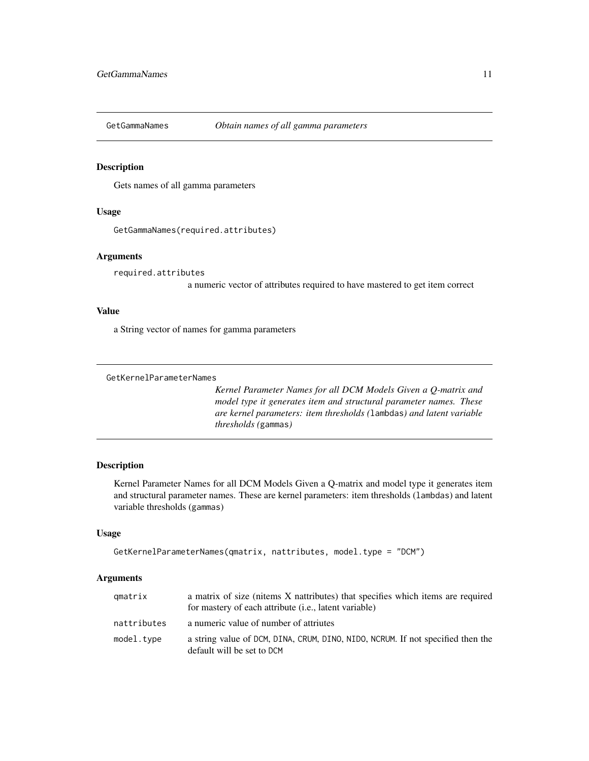<span id="page-10-0"></span>

#### Description

Gets names of all gamma parameters

# Usage

```
GetGammaNames(required.attributes)
```
#### Arguments

required.attributes

a numeric vector of attributes required to have mastered to get item correct

# Value

a String vector of names for gamma parameters

#### <span id="page-10-1"></span>GetKernelParameterNames

*Kernel Parameter Names for all DCM Models Given a Q-matrix and model type it generates item and structural parameter names. These are kernel parameters: item thresholds (*lambdas*) and latent variable thresholds (*gammas*)*

# Description

Kernel Parameter Names for all DCM Models Given a Q-matrix and model type it generates item and structural parameter names. These are kernel parameters: item thresholds (lambdas) and latent variable thresholds (gammas)

#### Usage

```
GetKernelParameterNames(qmatrix, nattributes, model.type = "DCM")
```
#### **Arguments**

| qmatrix     | a matrix of size (nitems X nattributes) that specifies which items are required<br>for mastery of each attribute <i>(i.e., latent variable)</i> |
|-------------|-------------------------------------------------------------------------------------------------------------------------------------------------|
| nattributes | a numeric value of number of attriutes                                                                                                          |
| model.type  | a string value of DCM, DINA, CRUM, DINO, NIDO, NCRUM. If not specified then the<br>default will be set to DCM                                   |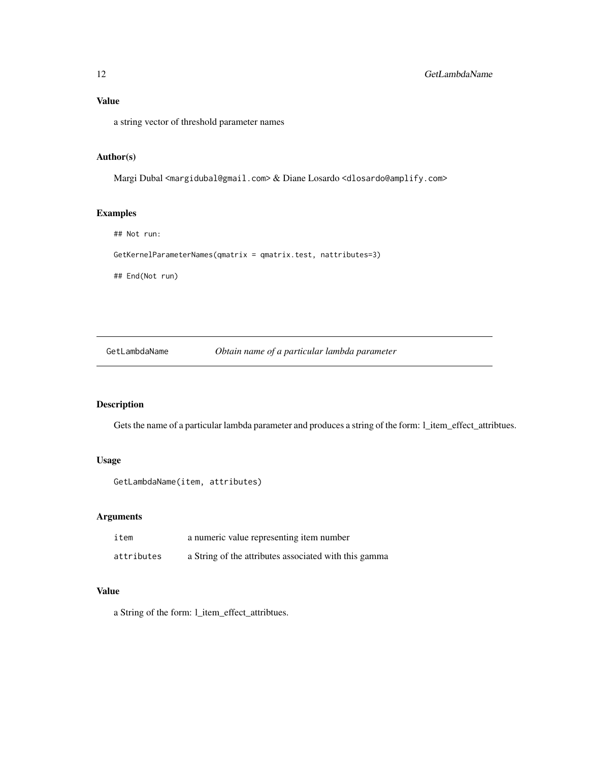<span id="page-11-0"></span>a string vector of threshold parameter names

#### Author(s)

Margi Dubal <margidubal@gmail.com> & Diane Losardo <dlosardo@amplify.com>

#### Examples

## Not run:

GetKernelParameterNames(qmatrix = qmatrix.test, nattributes=3)

## End(Not run)

GetLambdaName *Obtain name of a particular lambda parameter*

# Description

Gets the name of a particular lambda parameter and produces a string of the form: l\_item\_effect\_attribtues.

## Usage

```
GetLambdaName(item, attributes)
```
# Arguments

| item       | a numeric value representing item number              |
|------------|-------------------------------------------------------|
| attributes | a String of the attributes associated with this gamma |

# Value

a String of the form: l\_item\_effect\_attribtues.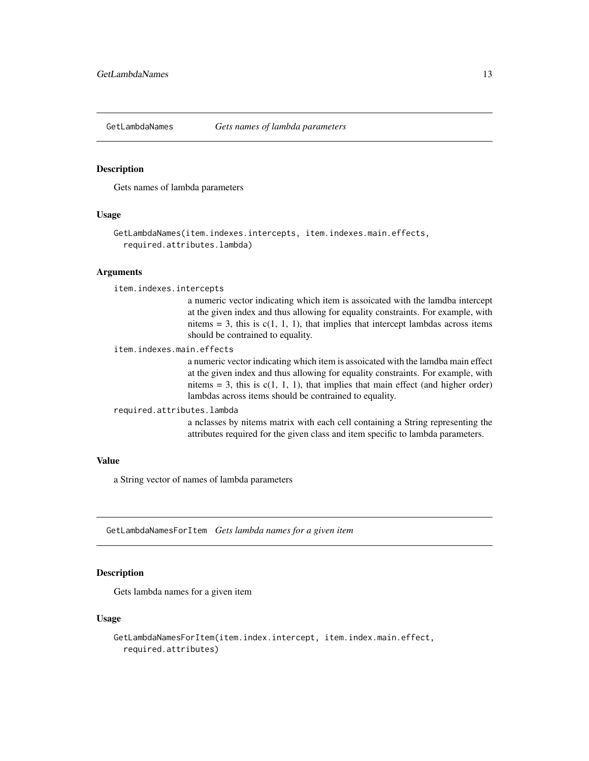<span id="page-12-0"></span>

#### Description

Gets names of lambda parameters

#### Usage

```
GetLambdaNames(item.indexes.intercepts, item.indexes.main.effects,
  required.attributes.lambda)
```
#### Arguments

```
item.indexes.intercepts
```
a numeric vector indicating which item is assoicated with the lamdba intercept at the given index and thus allowing for equality constraints. For example, with nitems  $= 3$ , this is  $c(1, 1, 1)$ , that implies that intercept lambdas across items should be contrained to equality.

item.indexes.main.effects

a numeric vector indicating which item is assoicated with the lamdba main effect at the given index and thus allowing for equality constraints. For example, with nitems = 3, this is  $c(1, 1, 1)$ , that implies that main effect (and higher order) lambdas across items should be contrained to equality.

#### required.attributes.lambda

a nclasses by nitems matrix with each cell containing a String representing the attributes required for the given class and item specific to lambda parameters.

#### Value

a String vector of names of lambda parameters

GetLambdaNamesForItem *Gets lambda names for a given item*

#### Description

Gets lambda names for a given item

#### Usage

```
GetLambdaNamesForItem(item.index.intercept, item.index.main.effect,
  required.attributes)
```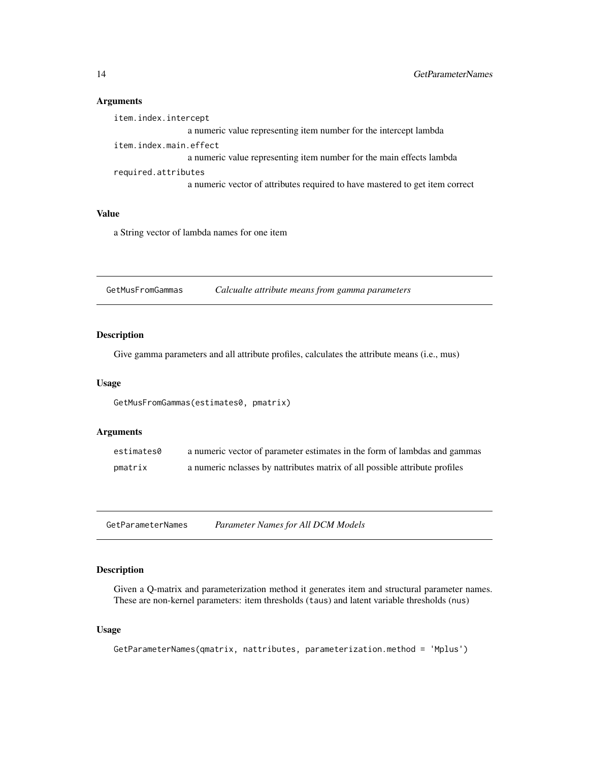# Arguments

#### Value

a String vector of lambda names for one item

GetMusFromGammas *Calcualte attribute means from gamma parameters*

#### Description

Give gamma parameters and all attribute profiles, calculates the attribute means (i.e., mus)

#### Usage

```
GetMusFromGammas(estimates0, pmatrix)
```
#### Arguments

| estimates0 | a numeric vector of parameter estimates in the form of lambdas and gammas   |
|------------|-----------------------------------------------------------------------------|
| pmatrix    | a numeric nelasses by nattributes matrix of all possible attribute profiles |

<span id="page-13-1"></span>GetParameterNames *Parameter Names for All DCM Models*

# Description

Given a Q-matrix and parameterization method it generates item and structural parameter names. These are non-kernel parameters: item thresholds (taus) and latent variable thresholds (nus)

# Usage

```
GetParameterNames(qmatrix, nattributes, parameterization.method = 'Mplus')
```
<span id="page-13-0"></span>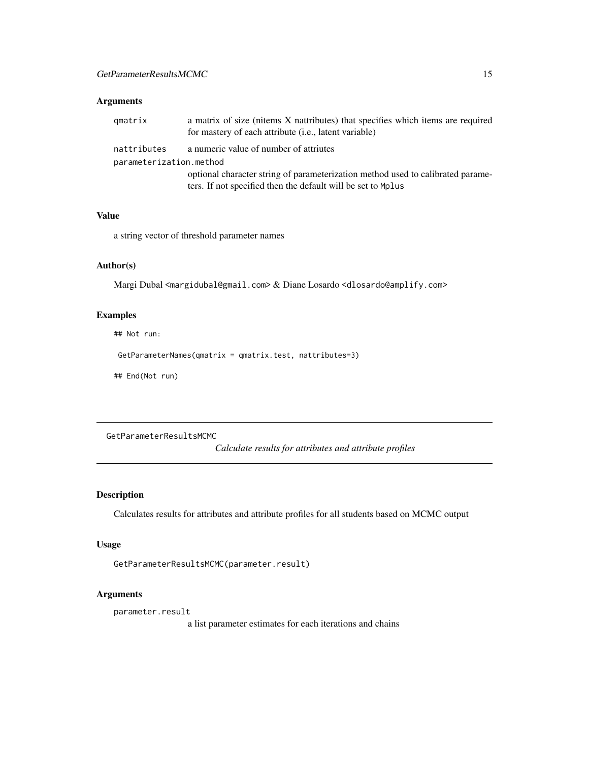#### <span id="page-14-0"></span>Arguments

| qmatrix                 | a matrix of size (nitems X nattributes) that specifies which items are required<br>for mastery of each attribute (i.e., latent variable) |  |
|-------------------------|------------------------------------------------------------------------------------------------------------------------------------------|--|
| nattributes             | a numeric value of number of attriutes                                                                                                   |  |
| parameterization.method |                                                                                                                                          |  |
|                         | optional character string of parameterization method used to calibrated parame-                                                          |  |
|                         | ters. If not specified then the default will be set to Mplus                                                                             |  |

#### Value

a string vector of threshold parameter names

# Author(s)

Margi Dubal <margidubal@gmail.com> & Diane Losardo <dlosardo@amplify.com>

# Examples

## Not run:

GetParameterNames(qmatrix = qmatrix.test, nattributes=3)

## End(Not run)

GetParameterResultsMCMC

*Calculate results for attributes and attribute profiles*

# Description

Calculates results for attributes and attribute profiles for all students based on MCMC output

# Usage

```
GetParameterResultsMCMC(parameter.result)
```
# Arguments

parameter.result

a list parameter estimates for each iterations and chains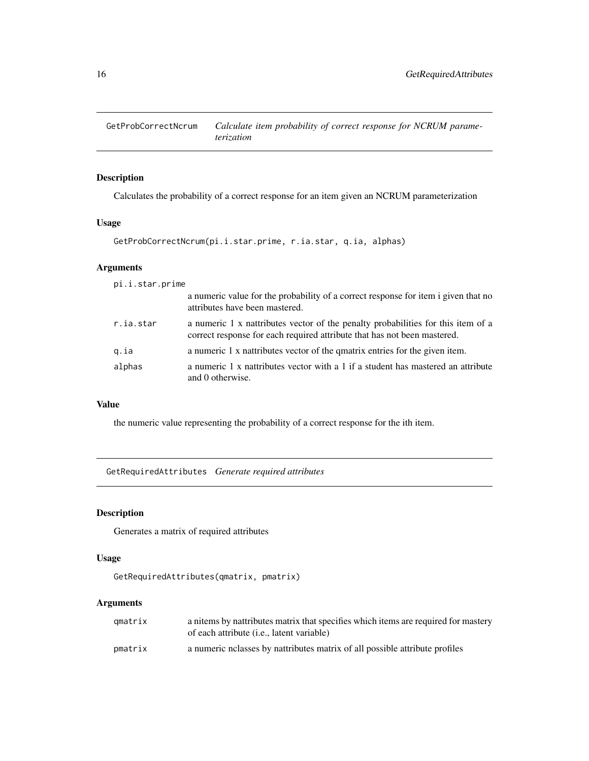<span id="page-15-0"></span>GetProbCorrectNcrum *Calculate item probability of correct response for NCRUM parameterization*

# Description

Calculates the probability of a correct response for an item given an NCRUM parameterization

# Usage

```
GetProbCorrectNcrum(pi.i.star.prime, r.ia.star, q.ia, alphas)
```
# Arguments

|  |  |  |  |  |  |  | pi.i.star.prime |
|--|--|--|--|--|--|--|-----------------|
|--|--|--|--|--|--|--|-----------------|

| a numeric value for the probability of a correct response for item i given that no<br>attributes have been mastered.                                         |
|--------------------------------------------------------------------------------------------------------------------------------------------------------------|
| a numeric 1 x nattributes vector of the penalty probabilities for this item of a<br>correct response for each required attribute that has not been mastered. |
| a numeric 1 x nattributes vector of the quality entries for the given item.                                                                                  |
| a numeric 1 x nattributes vector with a 1 if a student has mastered an attribute<br>and 0 otherwise.                                                         |
|                                                                                                                                                              |

# Value

the numeric value representing the probability of a correct response for the ith item.

GetRequiredAttributes *Generate required attributes*

# Description

Generates a matrix of required attributes

# Usage

```
GetRequiredAttributes(qmatrix, pmatrix)
```
## Arguments

| amatrix | a nitems by nattributes matrix that specifies which items are required for mastery |
|---------|------------------------------------------------------------------------------------|
|         | of each attribute ( <i>i.e.</i> , latent variable)                                 |
| pmatrix | a numeric notal by national matrix of all possible attribute profiles              |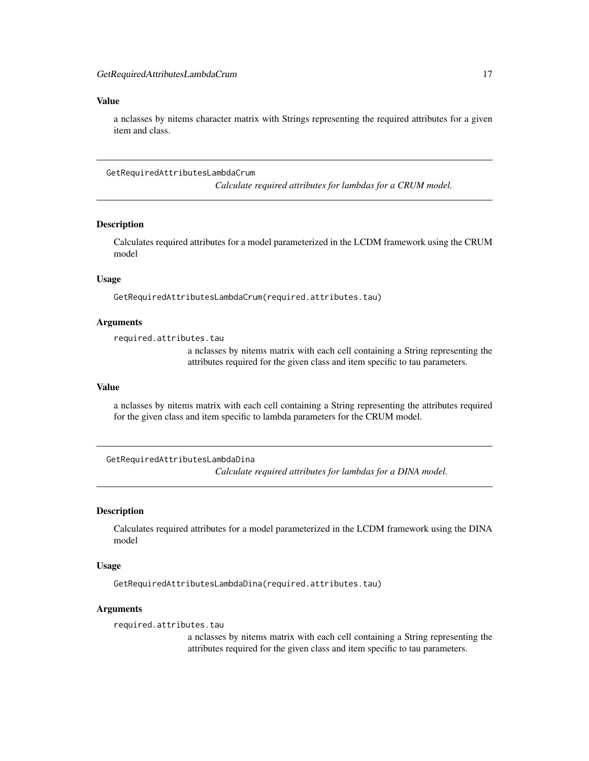<span id="page-16-0"></span>a nclasses by nitems character matrix with Strings representing the required attributes for a given item and class.

GetRequiredAttributesLambdaCrum *Calculate required attributes for lambdas for a CRUM model.*

#### Description

Calculates required attributes for a model parameterized in the LCDM framework using the CRUM model

#### Usage

GetRequiredAttributesLambdaCrum(required.attributes.tau)

### Arguments

required.attributes.tau

a nclasses by nitems matrix with each cell containing a String representing the attributes required for the given class and item specific to tau parameters.

#### Value

a nclasses by nitems matrix with each cell containing a String representing the attributes required for the given class and item specific to lambda parameters for the CRUM model.

GetRequiredAttributesLambdaDina *Calculate required attributes for lambdas for a DINA model.*

#### Description

Calculates required attributes for a model parameterized in the LCDM framework using the DINA model

#### Usage

GetRequiredAttributesLambdaDina(required.attributes.tau)

#### Arguments

required.attributes.tau

a nclasses by nitems matrix with each cell containing a String representing the attributes required for the given class and item specific to tau parameters.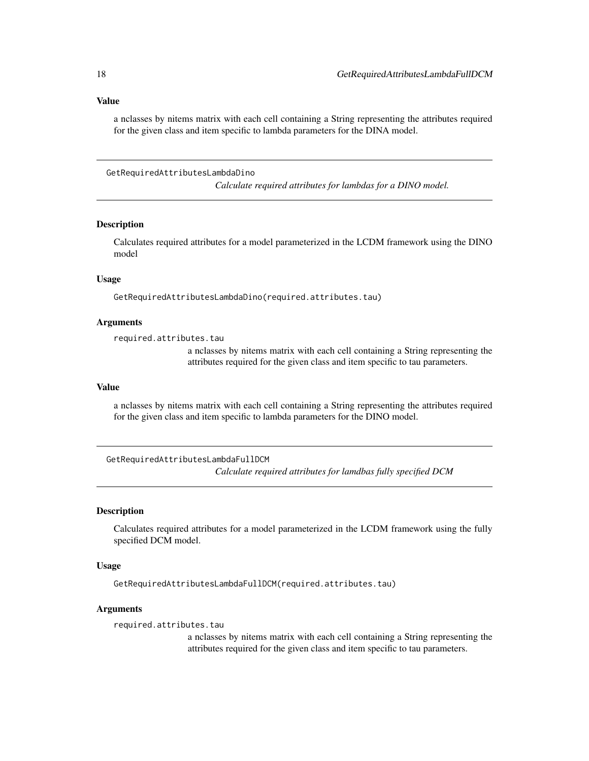<span id="page-17-0"></span>a nclasses by nitems matrix with each cell containing a String representing the attributes required for the given class and item specific to lambda parameters for the DINA model.

GetRequiredAttributesLambdaDino *Calculate required attributes for lambdas for a DINO model.*

Description

Calculates required attributes for a model parameterized in the LCDM framework using the DINO model

#### Usage

GetRequiredAttributesLambdaDino(required.attributes.tau)

### Arguments

required.attributes.tau

a nclasses by nitems matrix with each cell containing a String representing the attributes required for the given class and item specific to tau parameters.

#### Value

a nclasses by nitems matrix with each cell containing a String representing the attributes required for the given class and item specific to lambda parameters for the DINO model.

GetRequiredAttributesLambdaFullDCM *Calculate required attributes for lamdbas fully specified DCM*

#### Description

Calculates required attributes for a model parameterized in the LCDM framework using the fully specified DCM model.

#### Usage

GetRequiredAttributesLambdaFullDCM(required.attributes.tau)

#### Arguments

required.attributes.tau

a nclasses by nitems matrix with each cell containing a String representing the attributes required for the given class and item specific to tau parameters.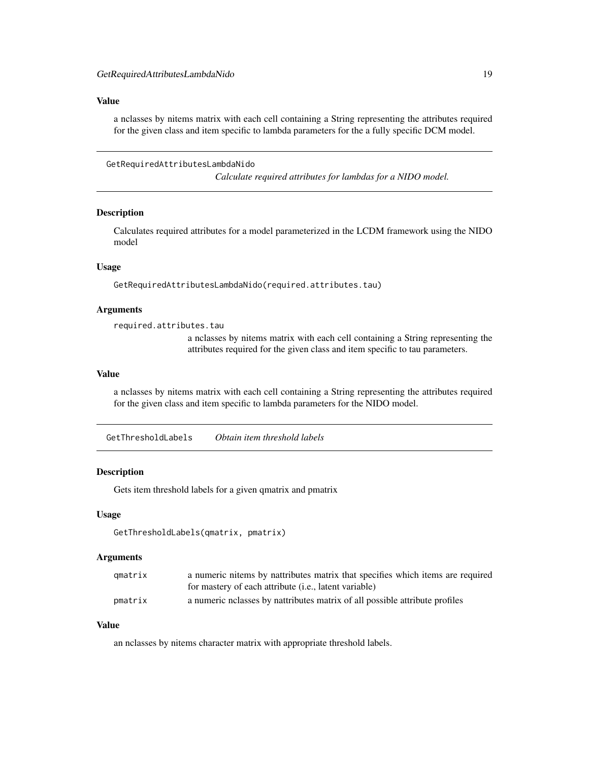<span id="page-18-0"></span>a nclasses by nitems matrix with each cell containing a String representing the attributes required for the given class and item specific to lambda parameters for the a fully specific DCM model.

GetRequiredAttributesLambdaNido

*Calculate required attributes for lambdas for a NIDO model.*

#### Description

Calculates required attributes for a model parameterized in the LCDM framework using the NIDO model

#### Usage

GetRequiredAttributesLambdaNido(required.attributes.tau)

# Arguments

required.attributes.tau

a nclasses by nitems matrix with each cell containing a String representing the attributes required for the given class and item specific to tau parameters.

#### Value

a nclasses by nitems matrix with each cell containing a String representing the attributes required for the given class and item specific to lambda parameters for the NIDO model.

GetThresholdLabels *Obtain item threshold labels*

#### **Description**

Gets item threshold labels for a given qmatrix and pmatrix

#### Usage

```
GetThresholdLabels(qmatrix, pmatrix)
```
#### Arguments

| qmatrix | a numeric nitems by nattributes matrix that specifies which items are required |
|---------|--------------------------------------------------------------------------------|
|         | for mastery of each attribute <i>(i.e., latent variable)</i>                   |
| pmatrix | a numeric nelasses by nattributes matrix of all possible attribute profiles    |

# Value

an nclasses by nitems character matrix with appropriate threshold labels.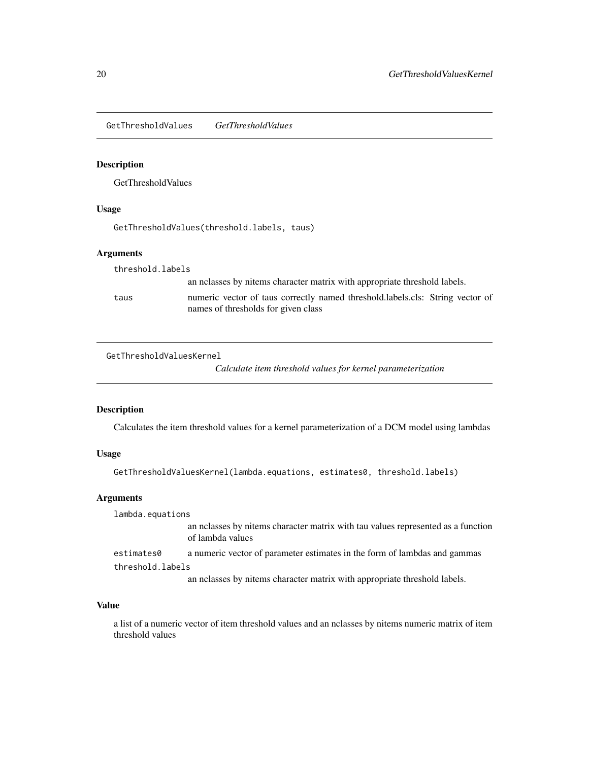<span id="page-19-0"></span>GetThresholdValues *GetThresholdValues*

# Description

GetThresholdValues

# Usage

GetThresholdValues(threshold.labels, taus)

# Arguments

| threshold.labels |                                                                                                                      |
|------------------|----------------------------------------------------------------------------------------------------------------------|
|                  | an nelasses by nitems character matrix with appropriate threshold labels.                                            |
| taus             | numeric vector of taus correctly named threshold.labels.cls: String vector of<br>names of thresholds for given class |

GetThresholdValuesKernel

*Calculate item threshold values for kernel parameterization*

# Description

Calculates the item threshold values for a kernel parameterization of a DCM model using lambdas

# Usage

GetThresholdValuesKernel(lambda.equations, estimates0, threshold.labels)

# Arguments

| lambda.equations |                                                                                                      |  |
|------------------|------------------------------------------------------------------------------------------------------|--|
|                  | an nelasses by nitems character matrix with tau values represented as a function<br>of lambda values |  |
| estimates0       | a numeric vector of parameter estimates in the form of lambdas and gammas                            |  |
| threshold.labels |                                                                                                      |  |
|                  | an nelasses by nitems character matrix with appropriate threshold labels.                            |  |

# Value

a list of a numeric vector of item threshold values and an nclasses by nitems numeric matrix of item threshold values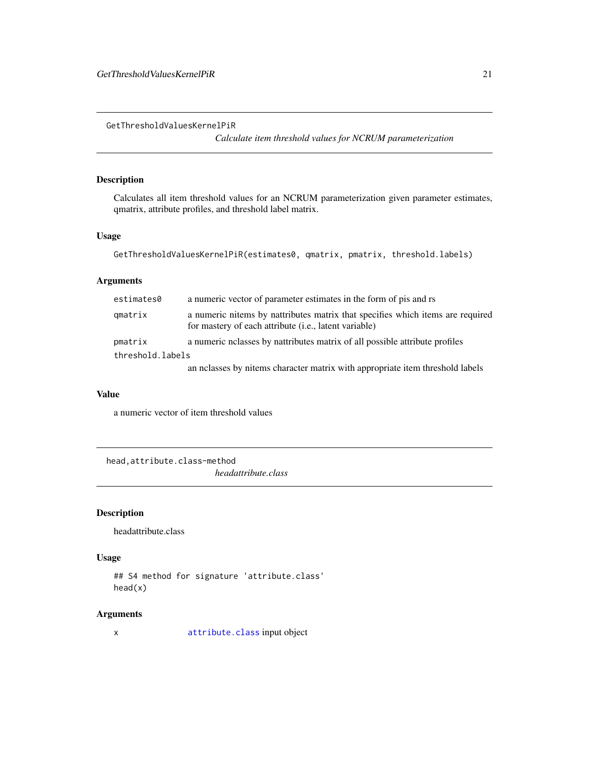<span id="page-20-0"></span>GetThresholdValuesKernelPiR

*Calculate item threshold values for NCRUM parameterization*

# Description

Calculates all item threshold values for an NCRUM parameterization given parameter estimates, qmatrix, attribute profiles, and threshold label matrix.

#### Usage

```
GetThresholdValuesKernelPiR(estimates0, qmatrix, pmatrix, threshold.labels)
```
# Arguments

| estimates0       | a numeric vector of parameter estimates in the form of pis and rs                                                                              |
|------------------|------------------------------------------------------------------------------------------------------------------------------------------------|
| qmatrix          | a numeric nitems by nattributes matrix that specifies which items are required<br>for mastery of each attribute <i>(i.e., latent variable)</i> |
| pmatrix          | a numeric notal by national matrix of all possible attribute profiles                                                                          |
| threshold.labels |                                                                                                                                                |
|                  | an nelasses by nitems character matrix with appropriate item threshold labels                                                                  |

#### Value

a numeric vector of item threshold values

head,attribute.class-method *headattribute.class*

# Description

headattribute.class

# Usage

```
## S4 method for signature 'attribute.class'
head(x)
```
# Arguments

x [attribute.class](#page-2-1) input object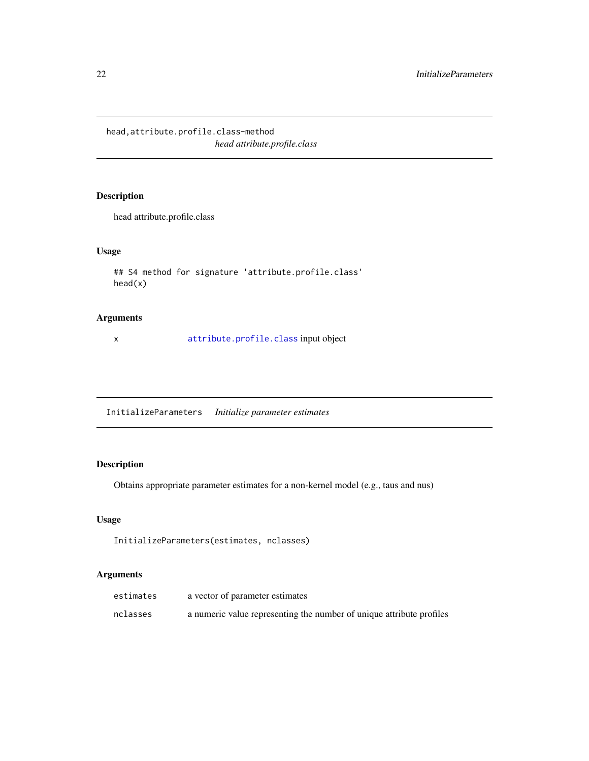<span id="page-21-0"></span>head,attribute.profile.class-method *head attribute.profile.class*

# Description

head attribute.profile.class

# Usage

```
## S4 method for signature 'attribute.profile.class'
head(x)
```
#### Arguments

x [attribute.profile.class](#page-3-1) input object

InitializeParameters *Initialize parameter estimates*

# Description

Obtains appropriate parameter estimates for a non-kernel model (e.g., taus and nus)

#### Usage

```
InitializeParameters(estimates, nclasses)
```
#### Arguments

| estimates | a vector of parameter estimates                                      |
|-----------|----------------------------------------------------------------------|
| nclasses  | a numeric value representing the number of unique attribute profiles |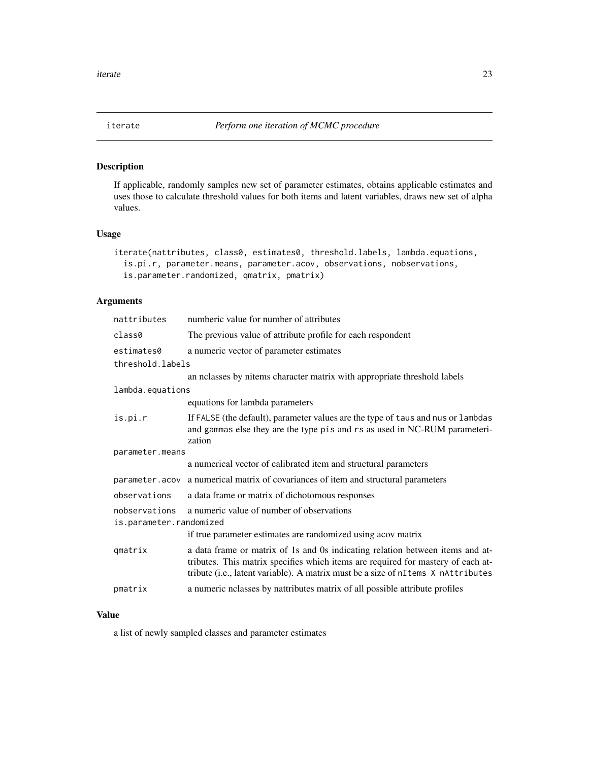<span id="page-22-0"></span>

#### Description

If applicable, randomly samples new set of parameter estimates, obtains applicable estimates and uses those to calculate threshold values for both items and latent variables, draws new set of alpha values.

#### Usage

```
iterate(nattributes, class0, estimates0, threshold.labels, lambda.equations,
 is.pi.r, parameter.means, parameter.acov, observations, nobservations,
 is.parameter.randomized, qmatrix, pmatrix)
```
# Arguments

| nattributes                              | numberic value for number of attributes                                                                                                                                                                                                               |  |  |
|------------------------------------------|-------------------------------------------------------------------------------------------------------------------------------------------------------------------------------------------------------------------------------------------------------|--|--|
| class0                                   | The previous value of attribute profile for each respondent                                                                                                                                                                                           |  |  |
| estimates0                               | a numeric vector of parameter estimates                                                                                                                                                                                                               |  |  |
| threshold.labels                         |                                                                                                                                                                                                                                                       |  |  |
|                                          | an nclasses by nitems character matrix with appropriate threshold labels                                                                                                                                                                              |  |  |
| lambda.equations                         |                                                                                                                                                                                                                                                       |  |  |
|                                          | equations for lambda parameters                                                                                                                                                                                                                       |  |  |
| is.pi.r                                  | If FALSE (the default), parameter values are the type of taus and nus or lambdas<br>and gammas else they are the type pis and rs as used in NC-RUM parameteri-<br>zation                                                                              |  |  |
| parameter.means                          |                                                                                                                                                                                                                                                       |  |  |
|                                          | a numerical vector of calibrated item and structural parameters                                                                                                                                                                                       |  |  |
|                                          | parameter. acov a numerical matrix of covariances of item and structural parameters                                                                                                                                                                   |  |  |
| observations                             | a data frame or matrix of dichotomous responses                                                                                                                                                                                                       |  |  |
| nobservations<br>is.parameter.randomized | a numeric value of number of observations                                                                                                                                                                                                             |  |  |
|                                          | if true parameter estimates are randomized using acov matrix                                                                                                                                                                                          |  |  |
| qmatrix                                  | a data frame or matrix of 1s and 0s indicating relation between items and at-<br>tributes. This matrix specifies which items are required for mastery of each at-<br>tribute (i.e., latent variable). A matrix must be a size of nItems X nAttributes |  |  |
| pmatrix                                  | a numeric nclasses by nattributes matrix of all possible attribute profiles                                                                                                                                                                           |  |  |

# Value

a list of newly sampled classes and parameter estimates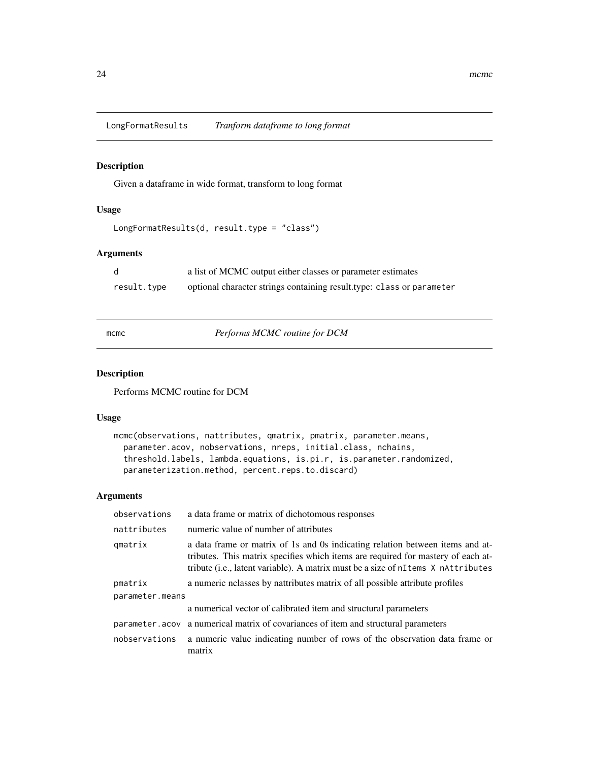<span id="page-23-0"></span>LongFormatResults *Tranform dataframe to long format*

# Description

Given a dataframe in wide format, transform to long format

# Usage

```
LongFormatResults(d, result.type = "class")
```
# Arguments

|             | a list of MCMC output either classes or parameter estimates           |
|-------------|-----------------------------------------------------------------------|
| result.type | optional character strings containing result type: class or parameter |

mcmc *Performs MCMC routine for DCM*

#### Description

Performs MCMC routine for DCM

#### Usage

```
mcmc(observations, nattributes, qmatrix, pmatrix, parameter.means,
 parameter.acov, nobservations, nreps, initial.class, nchains,
  threshold.labels, lambda.equations, is.pi.r, is.parameter.randomized,
 parameterization.method, percent.reps.to.discard)
```
# Arguments

| observations    | a data frame or matrix of dichotomous responses                                                                                                                                                                                                       |  |
|-----------------|-------------------------------------------------------------------------------------------------------------------------------------------------------------------------------------------------------------------------------------------------------|--|
| nattributes     | numeric value of number of attributes                                                                                                                                                                                                                 |  |
| qmatrix         | a data frame or matrix of 1s and 0s indicating relation between items and at-<br>tributes. This matrix specifies which items are required for mastery of each at-<br>tribute (i.e., latent variable). A matrix must be a size of nItems X nAttributes |  |
| pmatrix         | a numeric notal by national matrix of all possible attribute profiles                                                                                                                                                                                 |  |
| parameter.means |                                                                                                                                                                                                                                                       |  |
|                 | a numerical vector of calibrated item and structural parameters                                                                                                                                                                                       |  |
|                 | parameter acov a numerical matrix of covariances of item and structural parameters                                                                                                                                                                    |  |
| nobservations   | a numeric value indicating number of rows of the observation data frame or<br>matrix                                                                                                                                                                  |  |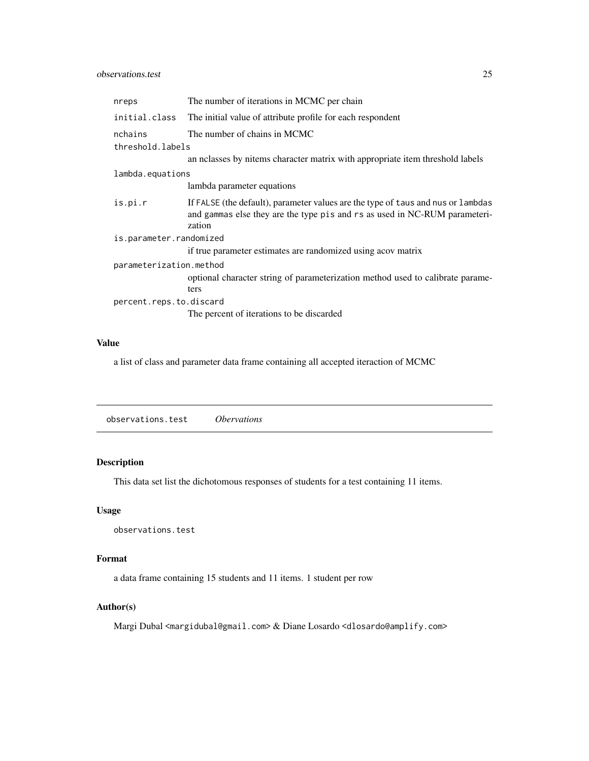#### <span id="page-24-0"></span>observations.test 25

| nreps                       | The number of iterations in MCMC per chain                                                                                                                               |  |
|-----------------------------|--------------------------------------------------------------------------------------------------------------------------------------------------------------------------|--|
| initial.class               | The initial value of attribute profile for each respondent                                                                                                               |  |
| nchains<br>threshold.labels | The number of chains in MCMC                                                                                                                                             |  |
|                             | an nelasses by nitems character matrix with appropriate item threshold labels                                                                                            |  |
| lambda.equations            |                                                                                                                                                                          |  |
|                             | lambda parameter equations                                                                                                                                               |  |
| is.pi.r                     | If FALSE (the default), parameter values are the type of taus and nus or lambdas<br>and gammas else they are the type pis and rs as used in NC-RUM parameteri-<br>zation |  |
| is.parameter.randomized     |                                                                                                                                                                          |  |
|                             | if true parameter estimates are randomized using acov matrix                                                                                                             |  |
| parameterization.method     | optional character string of parameterization method used to calibrate parame-<br>ters                                                                                   |  |
| percent.reps.to.discard     |                                                                                                                                                                          |  |
|                             | The percent of iterations to be discarded                                                                                                                                |  |

#### Value

a list of class and parameter data frame containing all accepted iteraction of MCMC

observations.test *Obervations*

# Description

This data set list the dichotomous responses of students for a test containing 11 items.

# Usage

observations.test

#### Format

a data frame containing 15 students and 11 items. 1 student per row

# Author(s)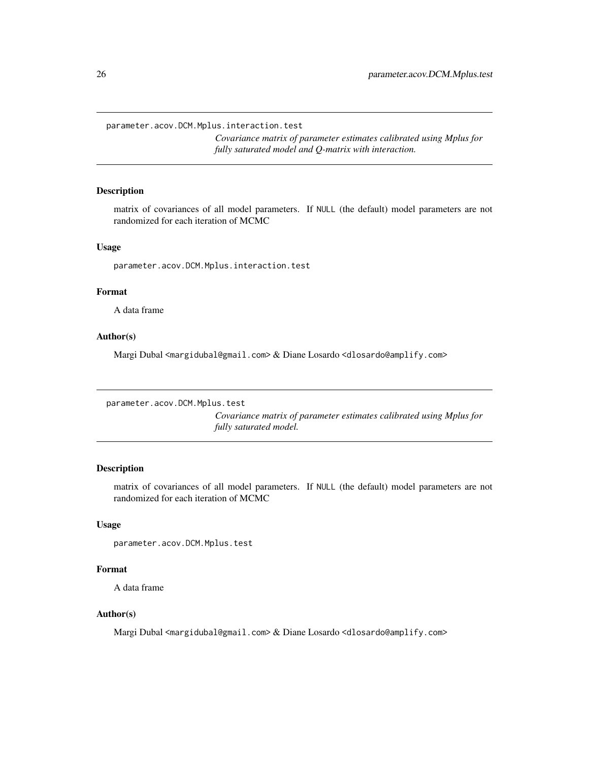<span id="page-25-0"></span>parameter.acov.DCM.Mplus.interaction.test

*Covariance matrix of parameter estimates calibrated using Mplus for fully saturated model and Q-matrix with interaction.*

# Description

matrix of covariances of all model parameters. If NULL (the default) model parameters are not randomized for each iteration of MCMC

#### Usage

parameter.acov.DCM.Mplus.interaction.test

#### Format

A data frame

#### Author(s)

Margi Dubal <margidubal@gmail.com> & Diane Losardo <dlosardo@amplify.com>

```
parameter.acov.DCM.Mplus.test
```
*Covariance matrix of parameter estimates calibrated using Mplus for fully saturated model.*

#### Description

matrix of covariances of all model parameters. If NULL (the default) model parameters are not randomized for each iteration of MCMC

#### Usage

parameter.acov.DCM.Mplus.test

# Format

A data frame

#### Author(s)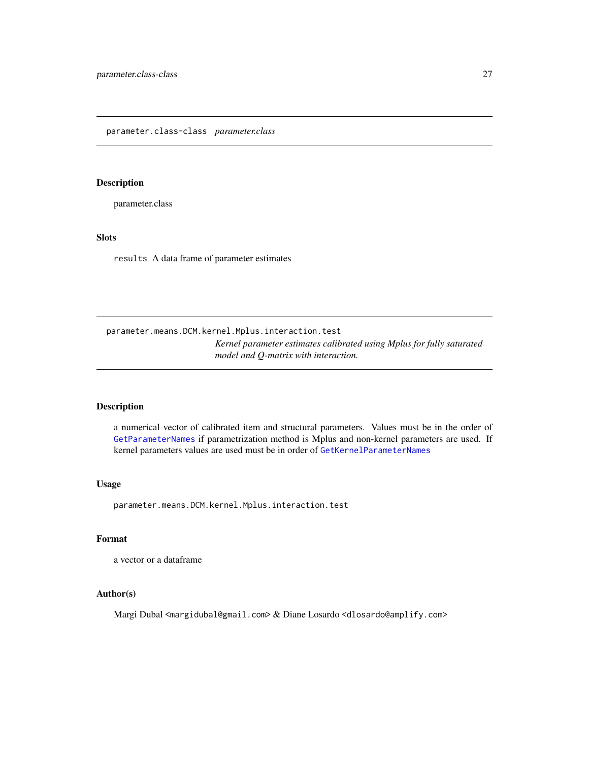#### <span id="page-26-1"></span><span id="page-26-0"></span>Description

parameter.class

# Slots

results A data frame of parameter estimates

parameter.means.DCM.kernel.Mplus.interaction.test *Kernel parameter estimates calibrated using Mplus for fully saturated model and Q-matrix with interaction.*

# Description

a numerical vector of calibrated item and structural parameters. Values must be in the order of [GetParameterNames](#page-13-1) if parametrization method is Mplus and non-kernel parameters are used. If kernel parameters values are used must be in order of [GetKernelParameterNames](#page-10-1)

#### Usage

parameter.means.DCM.kernel.Mplus.interaction.test

# Format

a vector or a dataframe

#### Author(s)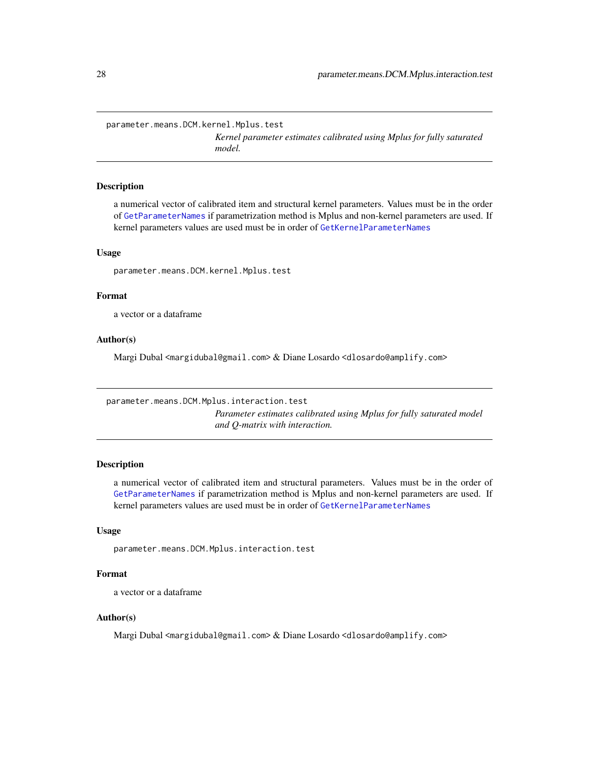<span id="page-27-0"></span>parameter.means.DCM.kernel.Mplus.test

*Kernel parameter estimates calibrated using Mplus for fully saturated model.*

#### Description

a numerical vector of calibrated item and structural kernel parameters. Values must be in the order of [GetParameterNames](#page-13-1) if parametrization method is Mplus and non-kernel parameters are used. If kernel parameters values are used must be in order of [GetKernelParameterNames](#page-10-1)

# Usage

parameter.means.DCM.kernel.Mplus.test

#### Format

a vector or a dataframe

#### Author(s)

Margi Dubal <margidubal@gmail.com> & Diane Losardo <dlosardo@amplify.com>

parameter.means.DCM.Mplus.interaction.test

*Parameter estimates calibrated using Mplus for fully saturated model and Q-matrix with interaction.*

# Description

a numerical vector of calibrated item and structural parameters. Values must be in the order of [GetParameterNames](#page-13-1) if parametrization method is Mplus and non-kernel parameters are used. If kernel parameters values are used must be in order of [GetKernelParameterNames](#page-10-1)

#### Usage

parameter.means.DCM.Mplus.interaction.test

# Format

a vector or a dataframe

# Author(s)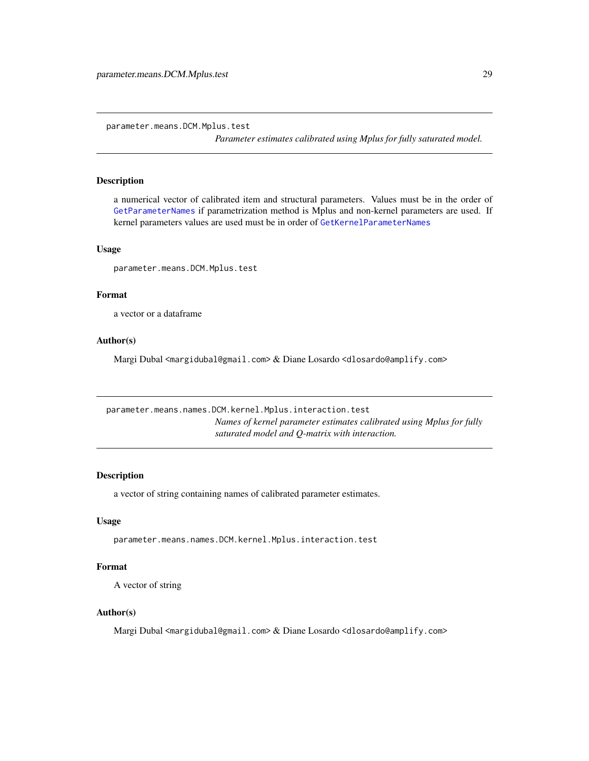<span id="page-28-0"></span>parameter.means.DCM.Mplus.test

*Parameter estimates calibrated using Mplus for fully saturated model.*

#### Description

a numerical vector of calibrated item and structural parameters. Values must be in the order of [GetParameterNames](#page-13-1) if parametrization method is Mplus and non-kernel parameters are used. If kernel parameters values are used must be in order of [GetKernelParameterNames](#page-10-1)

#### Usage

parameter.means.DCM.Mplus.test

# Format

a vector or a dataframe

#### Author(s)

Margi Dubal <margidubal@gmail.com> & Diane Losardo <dlosardo@amplify.com>

parameter.means.names.DCM.kernel.Mplus.interaction.test *Names of kernel parameter estimates calibrated using Mplus for fully saturated model and Q-matrix with interaction.*

#### Description

a vector of string containing names of calibrated parameter estimates.

#### Usage

parameter.means.names.DCM.kernel.Mplus.interaction.test

#### Format

A vector of string

#### Author(s)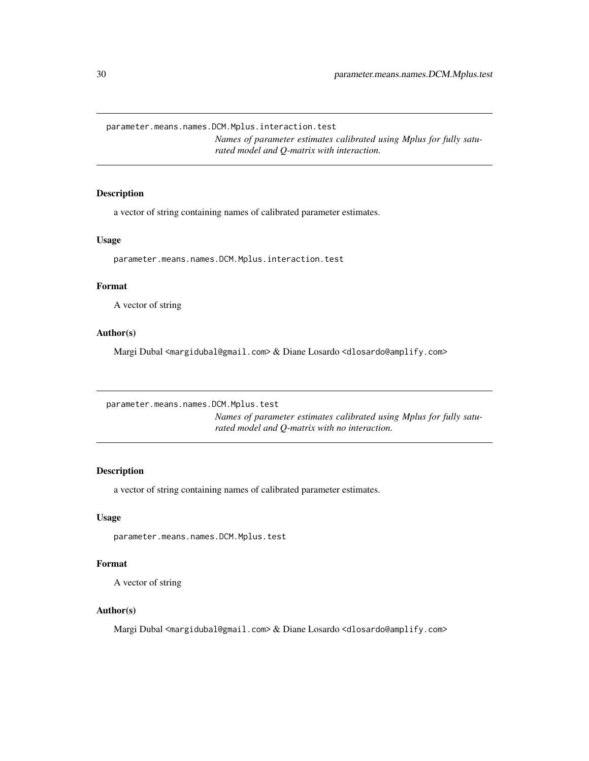<span id="page-29-0"></span>parameter.means.names.DCM.Mplus.interaction.test

*Names of parameter estimates calibrated using Mplus for fully saturated model and Q-matrix with interaction.*

# Description

a vector of string containing names of calibrated parameter estimates.

#### Usage

parameter.means.names.DCM.Mplus.interaction.test

#### Format

A vector of string

# Author(s)

Margi Dubal <margidubal@gmail.com> & Diane Losardo <dlosardo@amplify.com>

parameter.means.names.DCM.Mplus.test

*Names of parameter estimates calibrated using Mplus for fully saturated model and Q-matrix with no interaction.*

#### Description

a vector of string containing names of calibrated parameter estimates.

#### Usage

parameter.means.names.DCM.Mplus.test

#### Format

A vector of string

#### Author(s)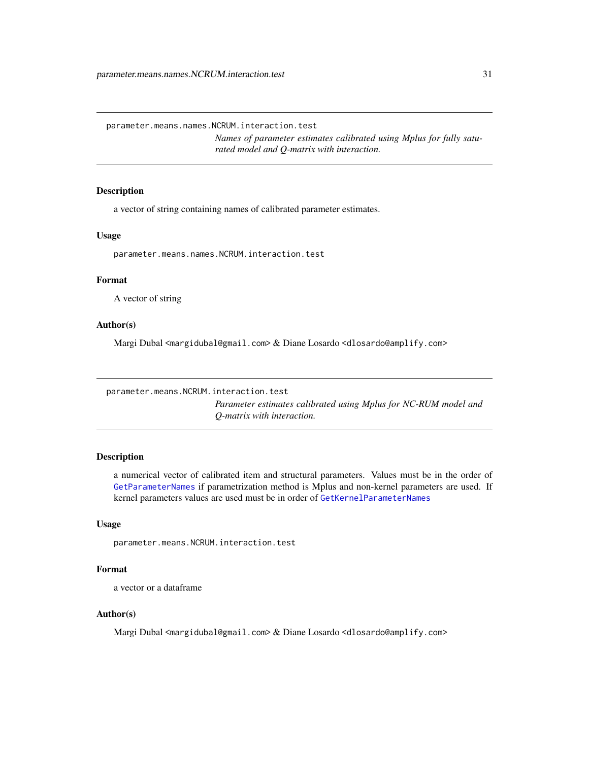<span id="page-30-0"></span>parameter.means.names.NCRUM.interaction.test

*Names of parameter estimates calibrated using Mplus for fully saturated model and Q-matrix with interaction.*

# Description

a vector of string containing names of calibrated parameter estimates.

#### Usage

parameter.means.names.NCRUM.interaction.test

# Format

A vector of string

#### Author(s)

Margi Dubal <margidubal@gmail.com> & Diane Losardo <dlosardo@amplify.com>

```
parameter.means.NCRUM.interaction.test
```
*Parameter estimates calibrated using Mplus for NC-RUM model and Q-matrix with interaction.*

#### Description

a numerical vector of calibrated item and structural parameters. Values must be in the order of [GetParameterNames](#page-13-1) if parametrization method is Mplus and non-kernel parameters are used. If kernel parameters values are used must be in order of [GetKernelParameterNames](#page-10-1)

#### Usage

parameter.means.NCRUM.interaction.test

# Format

a vector or a dataframe

#### Author(s)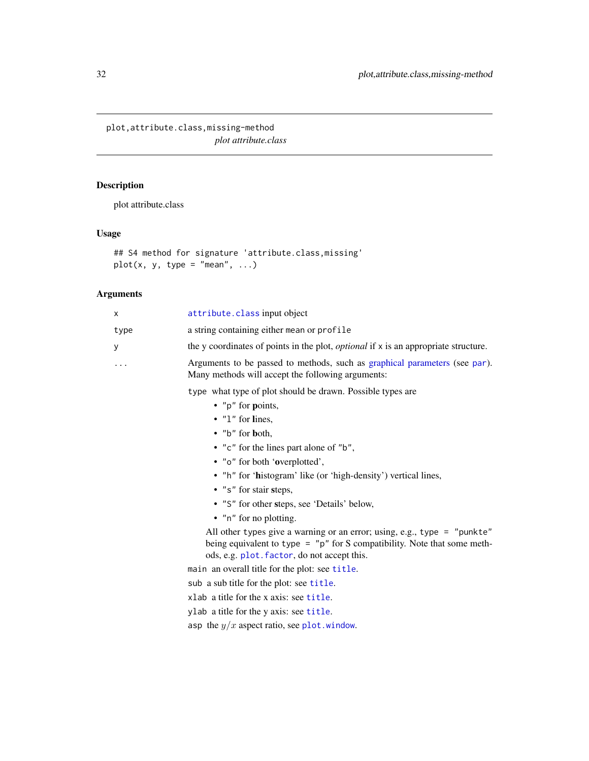<span id="page-31-0"></span>plot,attribute.class,missing-method *plot attribute.class*

# Description

plot attribute.class

# Usage

```
## S4 method for signature 'attribute.class,missing'
plot(x, y, type = "mean", ...)
```
#### Arguments

| x       | attribute. class input object                                                                                                   |
|---------|---------------------------------------------------------------------------------------------------------------------------------|
| type    | a string containing either mean or profile                                                                                      |
| У       | the y coordinates of points in the plot, <i>optional</i> if x is an appropriate structure.                                      |
| $\cdot$ | Arguments to be passed to methods, such as graphical parameters (see par).<br>Many methods will accept the following arguments: |
|         | type what type of plot should be drawn. Possible types are<br>• " $p$ " for <b>p</b> oints,                                     |
|         | $\bullet$ "1" for lines,                                                                                                        |
|         | $\bullet$ "b" for both,                                                                                                         |
|         | • "c" for the lines part alone of "b",                                                                                          |
|         | • "o" for both 'overplotted',                                                                                                   |
|         | • "h" for 'histogram' like (or 'high-density') vertical lines,                                                                  |

- "s" for stair steps,
- "S" for other steps, see 'Details' below,
- "n" for no plotting.

All other types give a warning or an error; using, e.g., type = "punkte" being equivalent to type = "p" for S compatibility. Note that some methods, e.g. [plot.factor](#page-0-0), do not accept this.

main an overall title for the plot: see [title](#page-0-0).

sub a sub title for the plot: see [title](#page-0-0).

xlab a title for the x axis: see [title](#page-0-0).

ylab a title for the y axis: see [title](#page-0-0).

asp the  $y/x$  aspect ratio, see [plot.window](#page-0-0).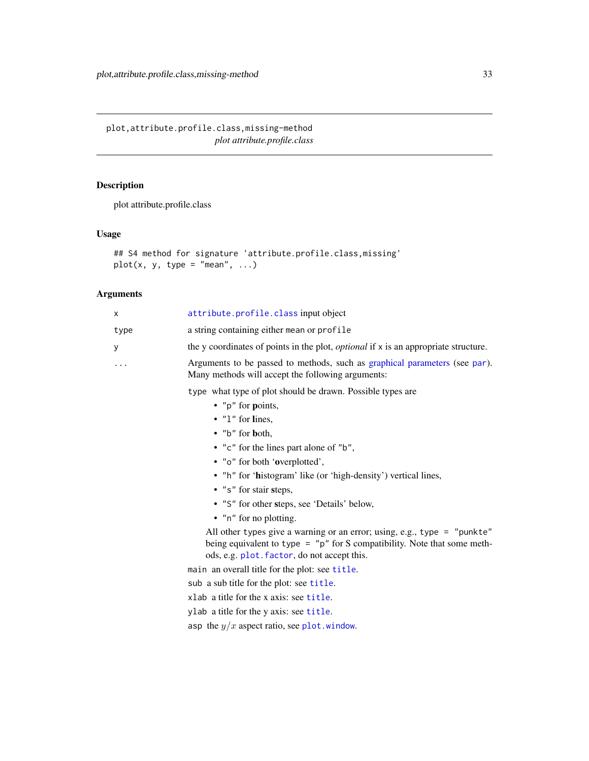<span id="page-32-0"></span>plot,attribute.profile.class,missing-method *plot attribute.profile.class*

# Description

plot attribute.profile.class

# Usage

```
## S4 method for signature 'attribute.profile.class,missing'
plot(x, y, type = "mean", ...)
```
# Arguments

| x        | attribute.profile.class input object                                                                                                                                                                  |
|----------|-------------------------------------------------------------------------------------------------------------------------------------------------------------------------------------------------------|
| type     | a string containing either mean or profile                                                                                                                                                            |
| у        | the y coordinates of points in the plot, <i>optional</i> if x is an appropriate structure.                                                                                                            |
| $\cdots$ | Arguments to be passed to methods, such as graphical parameters (see par).<br>Many methods will accept the following arguments:                                                                       |
|          | type what type of plot should be drawn. Possible types are                                                                                                                                            |
|          | • " $p$ " for points,                                                                                                                                                                                 |
|          | $\bullet$ "1" for lines,                                                                                                                                                                              |
|          | • "b" for both,                                                                                                                                                                                       |
|          | • "c" for the lines part alone of "b",                                                                                                                                                                |
|          | • "o" for both 'overplotted',                                                                                                                                                                         |
|          | • "h" for 'histogram' like (or 'high-density') vertical lines,                                                                                                                                        |
|          | $\cdot$ "s" for stair steps,                                                                                                                                                                          |
|          | • "S" for other steps, see 'Details' below,                                                                                                                                                           |
|          | • "n" for no plotting.                                                                                                                                                                                |
|          | All other types give a warning or an error; using, e.g., type = "punkte"<br>being equivalent to type = $"p"$ for S compatibility. Note that some meth-<br>ods, e.g. plot. factor, do not accept this. |
|          | main an overall title for the plot: see title.                                                                                                                                                        |
|          | sub a sub title for the plot: see title.                                                                                                                                                              |
|          | xlab a title for the x axis: see title.                                                                                                                                                               |
|          | ylab a title for the y axis: see title.                                                                                                                                                               |
|          | asp the $y/x$ aspect ratio, see plot. window.                                                                                                                                                         |
|          |                                                                                                                                                                                                       |
|          |                                                                                                                                                                                                       |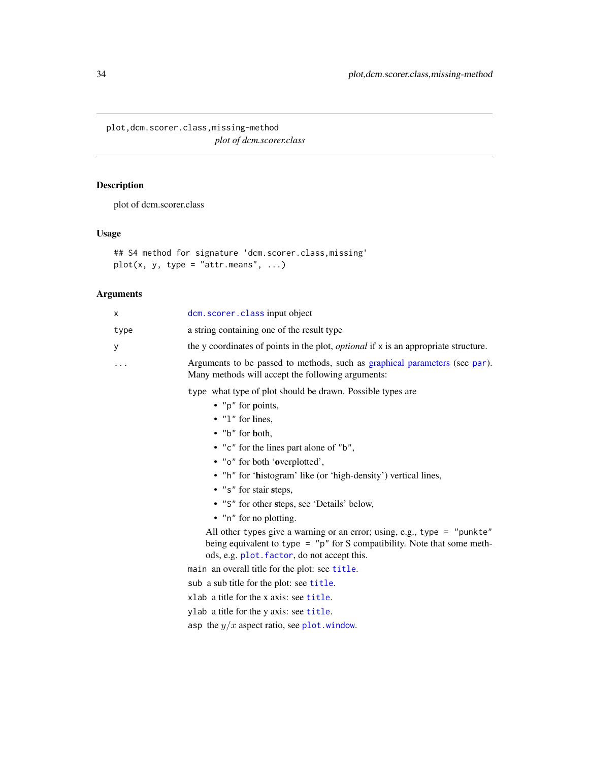<span id="page-33-0"></span>plot,dcm.scorer.class,missing-method *plot of dcm.scorer.class*

# Description

plot of dcm.scorer.class

#### Usage

```
## S4 method for signature 'dcm.scorer.class,missing'
plot(x, y, type = "attr-means", ...)
```
# Arguments

| x    | dcm. scorer. class input object                                                                                                                                                                       |
|------|-------------------------------------------------------------------------------------------------------------------------------------------------------------------------------------------------------|
| type | a string containing one of the result type                                                                                                                                                            |
| У    | the y coordinates of points in the plot, <i>optional</i> if x is an appropriate structure.                                                                                                            |
| .    | Arguments to be passed to methods, such as graphical parameters (see par).<br>Many methods will accept the following arguments:                                                                       |
|      | type what type of plot should be drawn. Possible types are                                                                                                                                            |
|      | • " $p$ " for <b>p</b> oints,                                                                                                                                                                         |
|      | $\bullet$ "1" for lines,                                                                                                                                                                              |
|      | • " $b$ " for both,                                                                                                                                                                                   |
|      | • "c" for the lines part alone of "b",                                                                                                                                                                |
|      | • "o" for both 'overplotted',                                                                                                                                                                         |
|      | • "h" for 'histogram' like (or 'high-density') vertical lines,                                                                                                                                        |
|      | • "s" for stair steps,                                                                                                                                                                                |
|      | • "S" for other steps, see 'Details' below,                                                                                                                                                           |
|      | • "n" for no plotting.                                                                                                                                                                                |
|      | All other types give a warning or an error; using, e.g., type = "punkte"<br>being equivalent to type = $"p"$ for S compatibility. Note that some meth-<br>ods, e.g. plot. factor, do not accept this. |

main an overall title for the plot: see [title](#page-0-0).

sub a sub title for the plot: see [title](#page-0-0).

xlab a title for the x axis: see [title](#page-0-0).

ylab a title for the y axis: see [title](#page-0-0).

asp the  $y/x$  aspect ratio, see [plot.window](#page-0-0).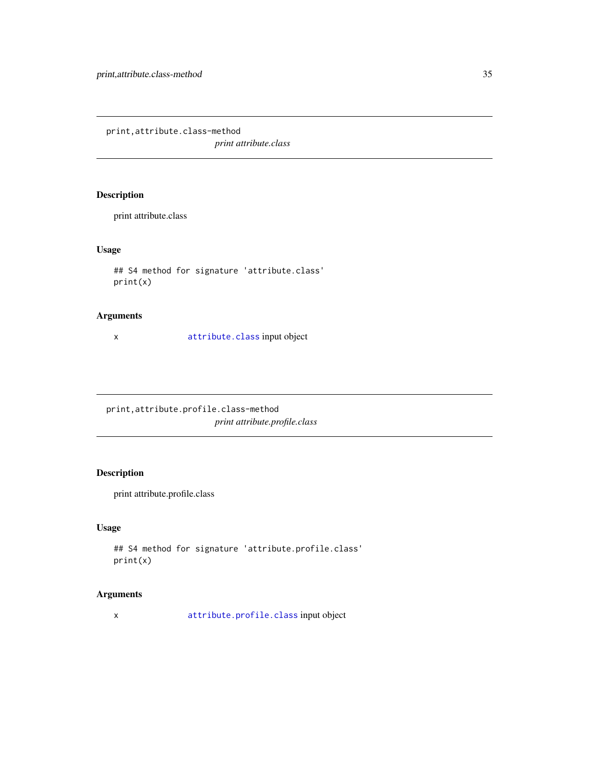<span id="page-34-0"></span>print,attribute.class-method *print attribute.class*

# Description

print attribute.class

# Usage

```
## S4 method for signature 'attribute.class'
print(x)
```
#### Arguments

x [attribute.class](#page-2-1) input object

print,attribute.profile.class-method *print attribute.profile.class*

# Description

print attribute.profile.class

# Usage

```
## S4 method for signature 'attribute.profile.class'
print(x)
```
# Arguments

x [attribute.profile.class](#page-3-1) input object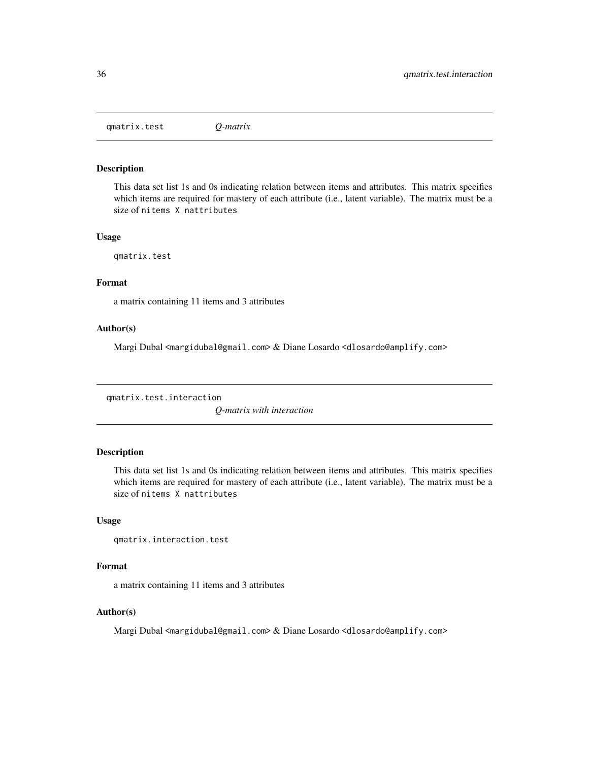<span id="page-35-0"></span>qmatrix.test *Q-matrix*

# Description

This data set list 1s and 0s indicating relation between items and attributes. This matrix specifies which items are required for mastery of each attribute (i.e., latent variable). The matrix must be a size of nitems X nattributes

#### Usage

qmatrix.test

# Format

a matrix containing 11 items and 3 attributes

# Author(s)

Margi Dubal <margidubal@gmail.com> & Diane Losardo <dlosardo@amplify.com>

qmatrix.test.interaction

*Q-matrix with interaction*

# Description

This data set list 1s and 0s indicating relation between items and attributes. This matrix specifies which items are required for mastery of each attribute (i.e., latent variable). The matrix must be a size of nitems X nattributes

#### Usage

```
qmatrix.interaction.test
```
# Format

a matrix containing 11 items and 3 attributes

#### Author(s)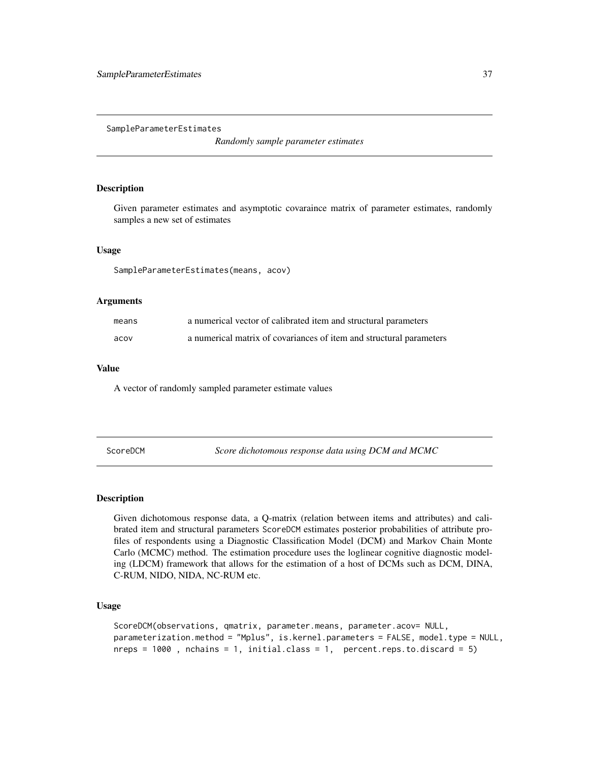<span id="page-36-0"></span>SampleParameterEstimates

*Randomly sample parameter estimates*

#### Description

Given parameter estimates and asymptotic covaraince matrix of parameter estimates, randomly samples a new set of estimates

#### Usage

SampleParameterEstimates(means, acov)

# Arguments

| means | a numerical vector of calibrated item and structural parameters     |
|-------|---------------------------------------------------------------------|
| acov  | a numerical matrix of covariances of item and structural parameters |

#### Value

A vector of randomly sampled parameter estimate values

ScoreDCM *Score dichotomous response data using DCM and MCMC*

# Description

Given dichotomous response data, a Q-matrix (relation between items and attributes) and calibrated item and structural parameters ScoreDCM estimates posterior probabilities of attribute profiles of respondents using a Diagnostic Classification Model (DCM) and Markov Chain Monte Carlo (MCMC) method. The estimation procedure uses the loglinear cognitive diagnostic modeling (LDCM) framework that allows for the estimation of a host of DCMs such as DCM, DINA, C-RUM, NIDO, NIDA, NC-RUM etc.

#### Usage

```
ScoreDCM(observations, qmatrix, parameter.means, parameter.acov= NULL,
parameterization.method = "Mplus", is.kernel.parameters = FALSE, model.type = NULL,
nreps = 1000, nchains = 1, initial.class = 1, percent.reps.to.discard = 5)
```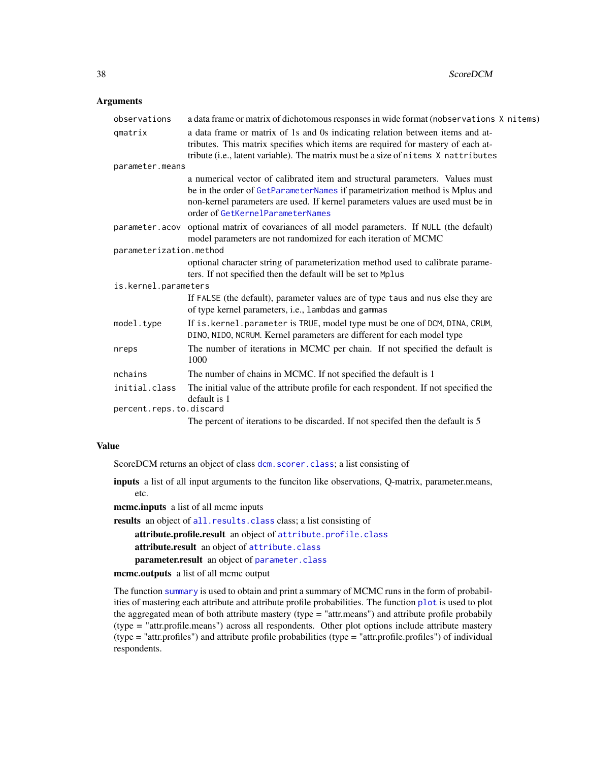#### <span id="page-37-0"></span>**Arguments**

| observations            | a data frame or matrix of dichotomous responses in wide format (nobservations X nitems)                                                                                                                                                                                            |  |
|-------------------------|------------------------------------------------------------------------------------------------------------------------------------------------------------------------------------------------------------------------------------------------------------------------------------|--|
| qmatrix                 | a data frame or matrix of 1s and 0s indicating relation between items and at-<br>tributes. This matrix specifies which items are required for mastery of each at-<br>tribute (i.e., latent variable). The matrix must be a size of nitems X nattributes                            |  |
| parameter.means         |                                                                                                                                                                                                                                                                                    |  |
|                         | a numerical vector of calibrated item and structural parameters. Values must<br>be in the order of GetParameterNames if parametrization method is Mplus and<br>non-kernel parameters are used. If kernel parameters values are used must be in<br>order of GetKernelParameterNames |  |
|                         | parameter.acov optional matrix of covariances of all model parameters. If NULL (the default)<br>model parameters are not randomized for each iteration of MCMC                                                                                                                     |  |
| parameterization.method |                                                                                                                                                                                                                                                                                    |  |
|                         | optional character string of parameterization method used to calibrate parame-<br>ters. If not specified then the default will be set to Mplus                                                                                                                                     |  |
| is.kernel.parameters    |                                                                                                                                                                                                                                                                                    |  |
|                         | If FALSE (the default), parameter values are of type taus and nus else they are<br>of type kernel parameters, i.e., lambdas and gammas                                                                                                                                             |  |
| model.type              | If is . kernel. parameter is TRUE, model type must be one of DCM, DINA, CRUM,<br>DINO, NIDO, NCRUM. Kernel parameters are different for each model type                                                                                                                            |  |
| nreps                   | The number of iterations in MCMC per chain. If not specified the default is<br>1000                                                                                                                                                                                                |  |
| nchains                 | The number of chains in MCMC. If not specified the default is 1                                                                                                                                                                                                                    |  |
| initial.class           | The initial value of the attribute profile for each respondent. If not specified the<br>default is 1                                                                                                                                                                               |  |
| percent.reps.to.discard |                                                                                                                                                                                                                                                                                    |  |
|                         | The percent of iterations to be discarded. If not specifed then the default is 5                                                                                                                                                                                                   |  |

#### Value

ScoreDCM returns an object of class dcm. scorer.class; a list consisting of

inputs a list of all input arguments to the funciton like observations, Q-matrix, parameter.means, etc.

mcmc.inputs a list of all mcmc inputs

results an object of [all.results.class](#page-2-2) class; a list consisting of

attribute.profile.result an object of [attribute.profile.class](#page-3-1)

attribute.result an object of [attribute.class](#page-2-1)

parameter.result an object of [parameter.class](#page-26-1)

mcmc.outputs a list of all mcmc output

The function [summary](#page-0-0) is used to obtain and print a summary of MCMC runs in the form of probabilities of mastering each attribute and attribute profile probabilities. The function [plot](#page-0-0) is used to plot the aggregated mean of both attribute mastery (type = "attr.means") and attribute profile probabily (type = "attr.profile.means") across all respondents. Other plot options include attribute mastery (type = "attr.profiles") and attribute profile probabilities (type = "attr.profile.profiles") of individual respondents.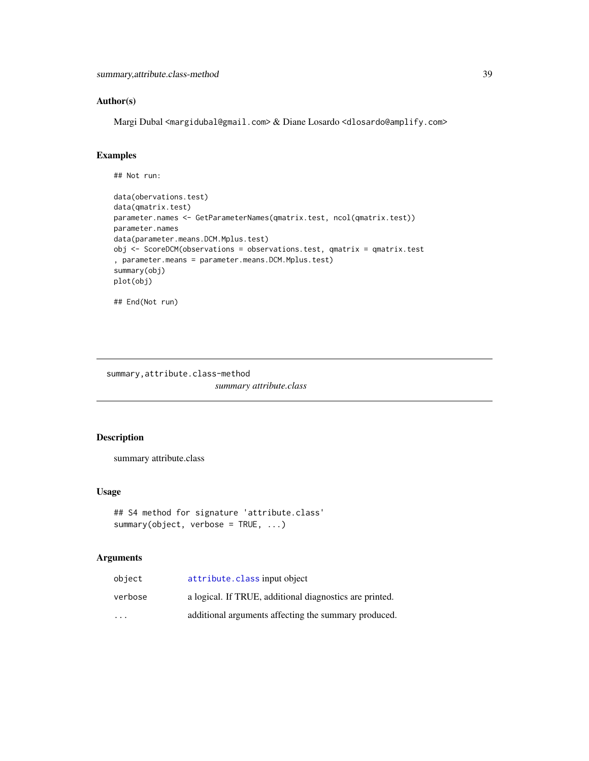# <span id="page-38-0"></span>Author(s)

Margi Dubal <margidubal@gmail.com> & Diane Losardo <dlosardo@amplify.com>

# Examples

```
## Not run:
data(obervations.test)
data(qmatrix.test)
parameter.names <- GetParameterNames(qmatrix.test, ncol(qmatrix.test))
parameter.names
data(parameter.means.DCM.Mplus.test)
obj <- ScoreDCM(observations = observations.test, qmatrix = qmatrix.test
, parameter.means = parameter.means.DCM.Mplus.test)
summary(obj)
plot(obj)
## End(Not run)
```
summary,attribute.class-method *summary attribute.class*

# Description

summary attribute.class

#### Usage

```
## S4 method for signature 'attribute.class'
summary(object, verbose = TRUE, ...)
```
# Arguments

| object                  | attribute. class input object                           |
|-------------------------|---------------------------------------------------------|
| verbose                 | a logical. If TRUE, additional diagnostics are printed. |
| $\cdot$ $\cdot$ $\cdot$ | additional arguments affecting the summary produced.    |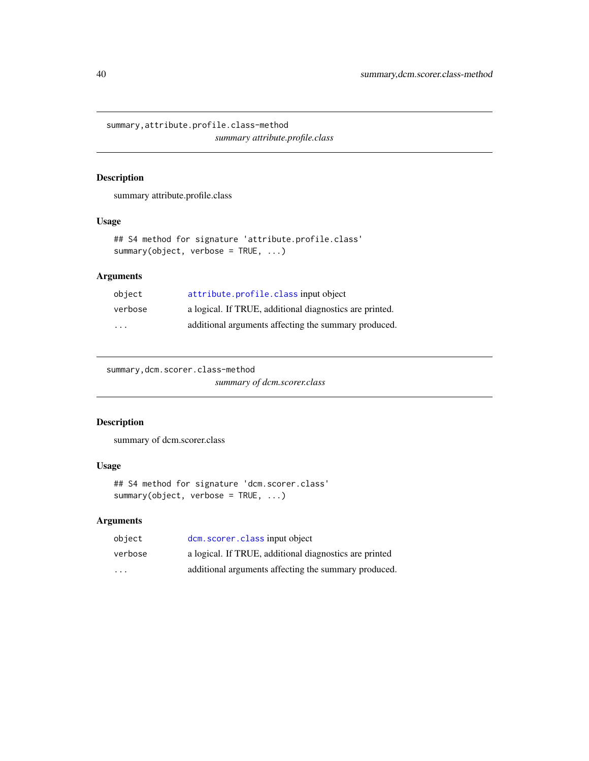<span id="page-39-0"></span>summary,attribute.profile.class-method *summary attribute.profile.class*

# Description

summary attribute.profile.class

# Usage

```
## S4 method for signature 'attribute.profile.class'
summary(object, verbose = TRUE, ...)
```
# Arguments

| object  | attribute.profile.classinput object                     |
|---------|---------------------------------------------------------|
| verbose | a logical. If TRUE, additional diagnostics are printed. |
| .       | additional arguments affecting the summary produced.    |

```
summary,dcm.scorer.class-method
```
*summary of dcm.scorer.class*

# Description

summary of dcm.scorer.class

# Usage

```
## S4 method for signature 'dcm.scorer.class'
summary(object, verbose = TRUE, ...)
```
# Arguments

| object                  | dcm. scorer. class input object                        |
|-------------------------|--------------------------------------------------------|
| verbose                 | a logical. If TRUE, additional diagnostics are printed |
| $\cdot$ $\cdot$ $\cdot$ | additional arguments affecting the summary produced.   |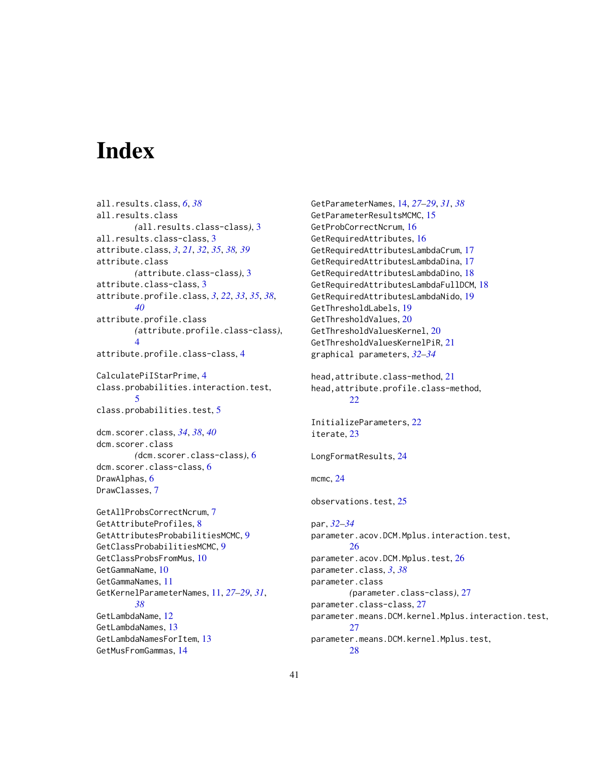# <span id="page-40-0"></span>**Index**

all.results.class, *[6](#page-5-0)*, *[38](#page-37-0)* all.results.class *(*all.results.class-class*)*, [3](#page-2-0) all.results.class-class, [3](#page-2-0) attribute.class, *[3](#page-2-0)*, *[21](#page-20-0)*, *[32](#page-31-0)*, *[35](#page-34-0)*, *[38,](#page-37-0) [39](#page-38-0)* attribute.class *(*attribute.class-class*)*, [3](#page-2-0) attribute.class-class, [3](#page-2-0) attribute.profile.class, *[3](#page-2-0)*, *[22](#page-21-0)*, *[33](#page-32-0)*, *[35](#page-34-0)*, *[38](#page-37-0)*, *[40](#page-39-0)* attribute.profile.class *(*attribute.profile.class-class*)*, [4](#page-3-0) attribute.profile.class-class, [4](#page-3-0)

CalculatePiIStarPrime, [4](#page-3-0) class.probabilities.interaction.test, [5](#page-4-0) class.probabilities.test, [5](#page-4-0)

dcm.scorer.class, *[34](#page-33-0)*, *[38](#page-37-0)*, *[40](#page-39-0)* dcm.scorer.class *(*dcm.scorer.class-class*)*, [6](#page-5-0) dcm.scorer.class-class, [6](#page-5-0) DrawAlphas, [6](#page-5-0) DrawClasses, [7](#page-6-0)

GetAllProbsCorrectNcrum, [7](#page-6-0) GetAttributeProfiles, [8](#page-7-0) GetAttributesProbabilitiesMCMC, [9](#page-8-0) GetClassProbabilitiesMCMC, [9](#page-8-0) GetClassProbsFromMus, [10](#page-9-0) GetGammaName, [10](#page-9-0) GetGammaNames, [11](#page-10-0) GetKernelParameterNames, [11,](#page-10-0) *[27–](#page-26-0)[29](#page-28-0)*, *[31](#page-30-0)*, *[38](#page-37-0)* GetLambdaName, [12](#page-11-0) GetLambdaNames, [13](#page-12-0) GetLambdaNamesForItem, [13](#page-12-0) GetMusFromGammas, [14](#page-13-0)

GetParameterNames, [14,](#page-13-0) *[27](#page-26-0)[–29](#page-28-0)*, *[31](#page-30-0)*, *[38](#page-37-0)* GetParameterResultsMCMC, [15](#page-14-0) GetProbCorrectNcrum, [16](#page-15-0) GetRequiredAttributes, [16](#page-15-0) GetRequiredAttributesLambdaCrum, [17](#page-16-0) GetRequiredAttributesLambdaDina, [17](#page-16-0) GetRequiredAttributesLambdaDino, [18](#page-17-0) GetRequiredAttributesLambdaFullDCM, [18](#page-17-0) GetRequiredAttributesLambdaNido, [19](#page-18-0) GetThresholdLabels, [19](#page-18-0) GetThresholdValues, [20](#page-19-0) GetThresholdValuesKernel, [20](#page-19-0) GetThresholdValuesKernelPiR, [21](#page-20-0) graphical parameters, *[32](#page-31-0)[–34](#page-33-0)* head,attribute.class-method, [21](#page-20-0) head,attribute.profile.class-method,  $22$ InitializeParameters, [22](#page-21-0) iterate, [23](#page-22-0) LongFormatResults, [24](#page-23-0) mcmc, [24](#page-23-0) observations.test, [25](#page-24-0) par, *[32–](#page-31-0)[34](#page-33-0)* parameter.acov.DCM.Mplus.interaction.test, [26](#page-25-0) parameter.acov.DCM.Mplus.test, [26](#page-25-0) parameter.class, *[3](#page-2-0)*, *[38](#page-37-0)* parameter.class *(*parameter.class-class*)*, [27](#page-26-0) parameter.class-class, [27](#page-26-0) parameter.means.DCM.kernel.Mplus.interaction.test,  $27$ parameter.means.DCM.kernel.Mplus.test, [28](#page-27-0)